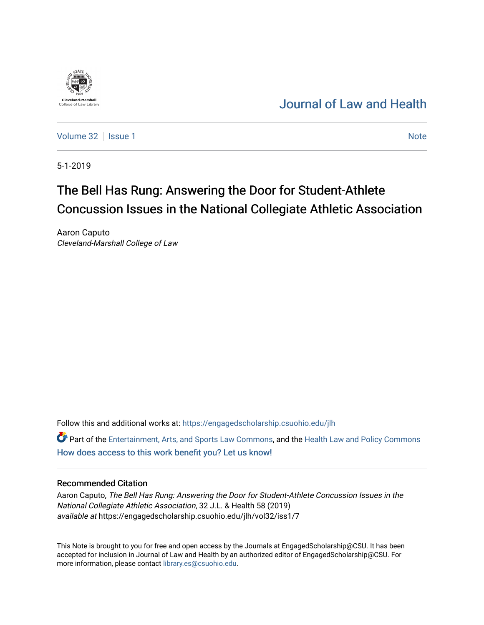# [Journal of Law and Health](https://engagedscholarship.csuohio.edu/jlh)

[Volume 32](https://engagedscholarship.csuohio.edu/jlh/vol32) | [Issue 1](https://engagedscholarship.csuohio.edu/jlh/vol32/iss1) Note

5-1-2019

**Cleveland-Marshal**<br>College of Law Libra

# The Bell Has Rung: Answering the Door for Student-Athlete Concussion Issues in the National Collegiate Athletic Association

Aaron Caputo Cleveland-Marshall College of Law

Follow this and additional works at: [https://engagedscholarship.csuohio.edu/jlh](https://engagedscholarship.csuohio.edu/jlh?utm_source=engagedscholarship.csuohio.edu%2Fjlh%2Fvol32%2Fiss1%2F7&utm_medium=PDF&utm_campaign=PDFCoverPages) 

**P** Part of the [Entertainment, Arts, and Sports Law Commons](http://network.bepress.com/hgg/discipline/893?utm_source=engagedscholarship.csuohio.edu%2Fjlh%2Fvol32%2Fiss1%2F7&utm_medium=PDF&utm_campaign=PDFCoverPages), and the [Health Law and Policy Commons](http://network.bepress.com/hgg/discipline/901?utm_source=engagedscholarship.csuohio.edu%2Fjlh%2Fvol32%2Fiss1%2F7&utm_medium=PDF&utm_campaign=PDFCoverPages) [How does access to this work benefit you? Let us know!](http://library.csuohio.edu/engaged/)

# Recommended Citation

Aaron Caputo, The Bell Has Rung: Answering the Door for Student-Athlete Concussion Issues in the National Collegiate Athletic Association, 32 J.L. & Health 58 (2019) available at https://engagedscholarship.csuohio.edu/jlh/vol32/iss1/7

This Note is brought to you for free and open access by the Journals at EngagedScholarship@CSU. It has been accepted for inclusion in Journal of Law and Health by an authorized editor of EngagedScholarship@CSU. For more information, please contact [library.es@csuohio.edu](mailto:library.es@csuohio.edu).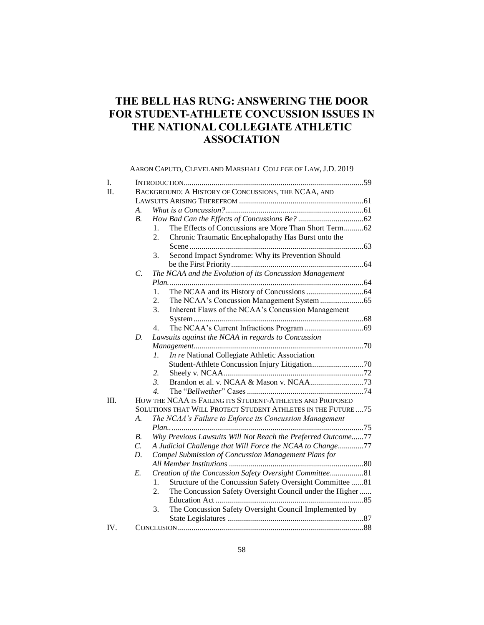# **THE BELL HAS RUNG: ANSWERING THE DOOR FOR STUDENT-ATHLETE CONCUSSION ISSUES IN THE NATIONAL COLLEGIATE ATHLETIC ASSOCIATION**

AARON CAPUTO, CLEVELAND MARSHALL COLLEGE OF LAW, J.D. 2019

| I.   |                  |                                                                  |
|------|------------------|------------------------------------------------------------------|
| Π.   |                  | BACKGROUND: A HISTORY OF CONCUSSIONS, THE NCAA, AND              |
|      |                  |                                                                  |
|      | A.               |                                                                  |
|      | B <sub>1</sub>   |                                                                  |
|      |                  | The Effects of Concussions are More Than Short Term62<br>$1_{-}$ |
|      |                  | Chronic Traumatic Encephalopathy Has Burst onto the<br>2.        |
|      |                  |                                                                  |
|      |                  | Second Impact Syndrome: Why its Prevention Should<br>3.          |
|      |                  |                                                                  |
|      | $\overline{C}$ . | The NCAA and the Evolution of its Concussion Management          |
|      |                  |                                                                  |
|      |                  | 1.                                                               |
|      |                  | 2.                                                               |
|      |                  | 3.<br>Inherent Flaws of the NCAA's Concussion Management         |
|      |                  |                                                                  |
|      |                  | 4.                                                               |
|      | D.               | Lawsuits against the NCAA in regards to Concussion               |
|      |                  |                                                                  |
|      |                  | In re National Collegiate Athletic Association<br>1.             |
|      |                  |                                                                  |
|      |                  | 2.                                                               |
|      |                  | 3.                                                               |
|      |                  | $\mathcal{A}_{\cdot}$                                            |
| III. |                  | HOW THE NCAA IS FAILING ITS STUDENT-ATHLETES AND PROPOSED        |
|      |                  | SOLUTIONS THAT WILL PROTECT STUDENT ATHLETES IN THE FUTURE  75   |
|      | $\mathcal{A}$ .  | The NCAA's Failure to Enforce its Concussion Management          |
|      |                  |                                                                  |
|      | <i>B</i> .       | Why Previous Lawsuits Will Not Reach the Preferred Outcome77     |
|      | $\mathcal{C}$ .  | A Judicial Challenge that Will Force the NCAA to Change77        |
|      | D.               | Compel Submission of Concussion Management Plans for             |
|      |                  |                                                                  |
|      | E.               | Creation of the Concussion Safety Oversight Committee81          |
|      |                  | 1.<br>Structure of the Concussion Safety Oversight Committee 81  |
|      |                  | The Concussion Safety Oversight Council under the Higher<br>2.   |
|      |                  |                                                                  |
|      |                  | The Concussion Safety Oversight Council Implemented by<br>3.     |
|      |                  |                                                                  |
| IV.  |                  |                                                                  |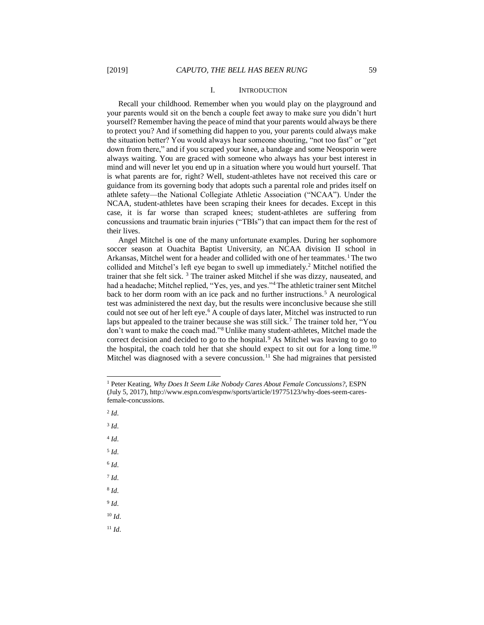#### I. INTRODUCTION

Recall your childhood. Remember when you would play on the playground and your parents would sit on the bench a couple feet away to make sure you didn't hurt yourself? Remember having the peace of mind that your parents would always be there to protect you? And if something did happen to you, your parents could always make the situation better? You would always hear someone shouting, "not too fast" or "get down from there," and if you scraped your knee, a bandage and some Neosporin were always waiting. You are graced with someone who always has your best interest in mind and will never let you end up in a situation where you would hurt yourself. That is what parents are for, right? Well, student-athletes have not received this care or guidance from its governing body that adopts such a parental role and prides itself on athlete safety—the National Collegiate Athletic Association ("NCAA"). Under the NCAA, student-athletes have been scraping their knees for decades. Except in this case, it is far worse than scraped knees; student-athletes are suffering from concussions and traumatic brain injuries ("TBIs") that can impact them for the rest of their lives.

Angel Mitchel is one of the many unfortunate examples. During her sophomore soccer season at Ouachita Baptist University, an NCAA division II school in Arkansas, Mitchel went for a header and collided with one of her teammates.<sup>1</sup>The two collided and Mitchel's left eye began to swell up immediately.<sup>2</sup> Mitchel notified the trainer that she felt sick. <sup>3</sup> The trainer asked Mitchel if she was dizzy, nauseated, and had a headache; Mitchel replied, "Yes, yes, and yes."<sup>4</sup>The athletic trainer sent Mitchel back to her dorm room with an ice pack and no further instructions.<sup>5</sup> A neurological test was administered the next day, but the results were inconclusive because she still could not see out of her left eye.<sup>6</sup> A couple of days later, Mitchel was instructed to run laps but appealed to the trainer because she was still sick.<sup>7</sup> The trainer told her, "You don't want to make the coach mad."<sup>8</sup> Unlike many student-athletes, Mitchel made the correct decision and decided to go to the hospital.<sup>9</sup> As Mitchel was leaving to go to the hospital, the coach told her that she should expect to sit out for a long time.<sup>10</sup> Mitchel was diagnosed with a severe concussion.<sup>11</sup> She had migraines that persisted

2 *Id.* 

l

3 *Id.* 

4 *Id.*

5 *Id.*

6 *Id.*

7 *Id.*

8 *Id.*

9 *Id.*

<sup>10</sup> *Id.*

<sup>1</sup> Peter Keating, *Why Does It Seem Like Nobody Cares About Female Concussions?*, ESPN (July 5, 2017), http://www.espn.com/espnw/sports/article/19775123/why-does-seem-caresfemale-concussions.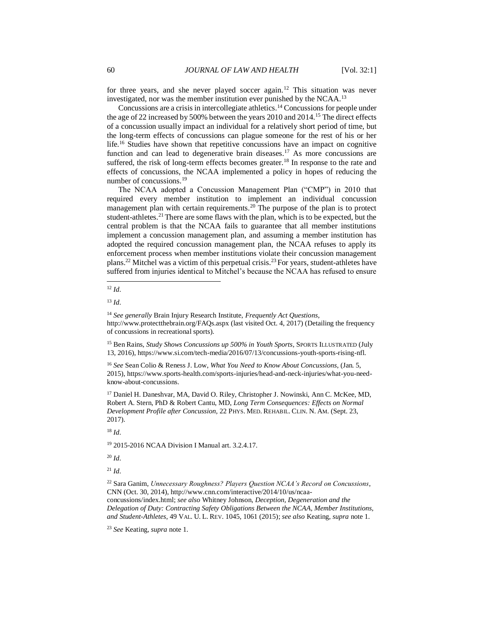for three years, and she never played soccer again.<sup>12</sup> This situation was never investigated, nor was the member institution ever punished by the NCAA.<sup>13</sup>

Concussions are a crisis in intercollegiate athletics. <sup>14</sup> Concussions for people under the age of 22 increased by 500% between the years 2010 and 2014.<sup>15</sup> The direct effects of a concussion usually impact an individual for a relatively short period of time, but the long-term effects of concussions can plague someone for the rest of his or her life.<sup>16</sup> Studies have shown that repetitive concussions have an impact on cognitive function and can lead to degenerative brain diseases.<sup>17</sup> As more concussions are suffered, the risk of long-term effects becomes greater.<sup>18</sup> In response to the rate and effects of concussions, the NCAA implemented a policy in hopes of reducing the number of concussions.<sup>19</sup>

The NCAA adopted a Concussion Management Plan ("CMP") in 2010 that required every member institution to implement an individual concussion management plan with certain requirements.<sup>20</sup> The purpose of the plan is to protect student-athletes.<sup>21</sup> There are some flaws with the plan, which is to be expected, but the central problem is that the NCAA fails to guarantee that all member institutions implement a concussion management plan, and assuming a member institution has adopted the required concussion management plan, the NCAA refuses to apply its enforcement process when member institutions violate their concussion management plans.<sup>22</sup> Mitchel was a victim of this perpetual crisis.<sup>23</sup> For years, student-athletes have suffered from injuries identical to Mitchel's because the NCAA has refused to ensure

l

<sup>13</sup> *Id.*

<sup>14</sup> *See generally* Brain Injury Research Institute, *Frequently Act Questions*, http://www.protectthebrain.org/FAQs.aspx (last visited Oct. 4, 2017) (Detailing the frequency of concussions in recreational sports).

<sup>15</sup> Ben Rains, *Study Shows Concussions up 500% in Youth Sports*, SPORTS ILLUSTRATED (July 13, 2016), https://www.si.com/tech-media/2016/07/13/concussions-youth-sports-rising-nfl.

<sup>16</sup> *See* Sean Colio & Reness J. Low, *What You Need to Know About Concussions*, (Jan. 5, 2015), https://www.sports-health.com/sports-injuries/head-and-neck-injuries/what-you-needknow-about-concussions.

<sup>17</sup> Daniel H. Daneshvar, MA, David O. Riley, Christopher J. Nowinski, Ann C. McKee, MD, Robert A. Stern, PhD & Robert Cantu, MD, *Long Term Consequences: Effects on Normal Development Profile after Concussion*, 22 PHYS. MED. REHABIL. CLIN. N. AM. (Sept. 23, 2017).

<sup>18</sup> *Id.* 

<sup>19</sup> 2015-2016 NCAA Division I Manual art. 3.2.4.17.

 $20$  *Id.* 

 $^{21}$  *Id.* 

<sup>22</sup> Sara Ganim, *Unnecessary Roughness? Players Question NCAA's Record on Concussions*, CNN (Oct. 30, 2014), http://www.cnn.com/interactive/2014/10/us/ncaaconcussions/index.html; *see also* Whitney Johnson, *Deception, Degeneration and the Delegation of Duty: Contracting Safety Obligations Between the NCAA, Member Institutions, and Student-Athletes*, 49 VAL. U. L. REV. 1045, 1061 (2015); *see also* Keating, *supra* note 1.

<sup>23</sup> *See* Keating, *supra* note 1.

<sup>12</sup> *Id.*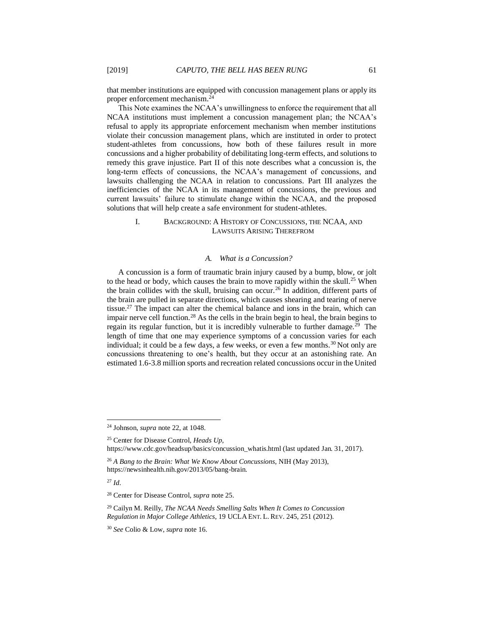that member institutions are equipped with concussion management plans or apply its proper enforcement mechanism.<sup>24</sup>

This Note examines the NCAA's unwillingness to enforce the requirement that all NCAA institutions must implement a concussion management plan; the NCAA's refusal to apply its appropriate enforcement mechanism when member institutions violate their concussion management plans, which are instituted in order to protect student-athletes from concussions, how both of these failures result in more concussions and a higher probability of debilitating long-term effects, and solutions to remedy this grave injustice. Part II of this note describes what a concussion is, the long-term effects of concussions, the NCAA's management of concussions, and lawsuits challenging the NCAA in relation to concussions. Part III analyzes the inefficiencies of the NCAA in its management of concussions, the previous and current lawsuits' failure to stimulate change within the NCAA, and the proposed solutions that will help create a safe environment for student-athletes.

# I. BACKGROUND: A HISTORY OF CONCUSSIONS, THE NCAA, AND LAWSUITS ARISING THEREFROM

#### *A. What is a Concussion?*

A concussion is a form of traumatic brain injury caused by a bump, blow, or jolt to the head or body, which causes the brain to move rapidly within the skull.<sup>25</sup> When the brain collides with the skull, bruising can occur.<sup>26</sup> In addition, different parts of the brain are pulled in separate directions, which causes shearing and tearing of nerve tissue.<sup>27</sup> The impact can alter the chemical balance and ions in the brain, which can impair nerve cell function.<sup>28</sup> As the cells in the brain begin to heal, the brain begins to regain its regular function, but it is incredibly vulnerable to further damage.<sup>29</sup> The length of time that one may experience symptoms of a concussion varies for each individual; it could be a few days, a few weeks, or even a few months.<sup>30</sup> Not only are concussions threatening to one's health, but they occur at an astonishing rate. An estimated 1.6-3.8 million sports and recreation related concussions occur in the United

<sup>24</sup> Johnson, *supra* note 22, at 1048.

<sup>25</sup> Center for Disease Control, *Heads Up*, https://www.cdc.gov/headsup/basics/concussion\_whatis.html (last updated Jan. 31, 2017).

<sup>26</sup> *A Bang to the Brain: What We Know About Concussions,* NIH (May 2013), https://newsinhealth.nih.gov/2013/05/bang-brain.

<sup>27</sup> *Id.* 

<sup>28</sup> Center for Disease Control, *supra* note 25.

<sup>29</sup> Cailyn M. Reilly, *The NCAA Needs Smelling Salts When It Comes to Concussion Regulation in Major College Athletics*, 19 UCLA ENT. L. REV. 245, 251 (2012).

<sup>30</sup> *See* Colio & Low, *supra* note 16.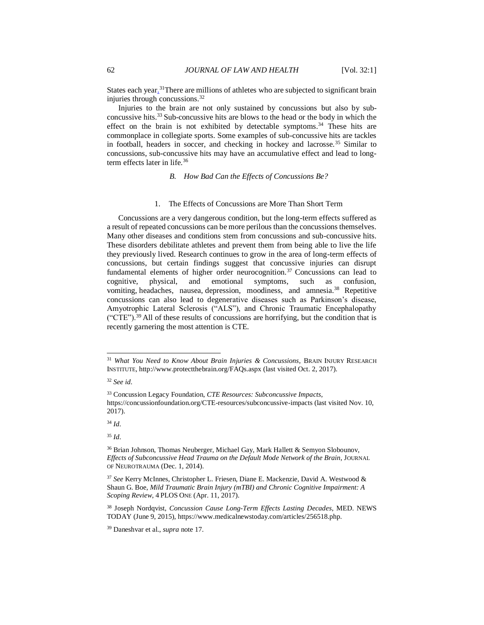States each year.<sup>31</sup>There are millions of athletes who are subjected to significant brain injuries through concussions.<sup>32</sup>

Injuries to the brain are not only sustained by concussions but also by subconcussive hits.<sup>33</sup> Sub-concussive hits are blows to the head or the body in which the effect on the brain is not exhibited by detectable symptoms.<sup>34</sup> These hits are commonplace in collegiate sports. Some examples of sub-concussive hits are tackles in football, headers in soccer, and checking in hockey and lacrosse.<sup>35</sup> Similar to concussions, sub-concussive hits may have an accumulative effect and lead to longterm effects later in life.<sup>36</sup>

*B. How Bad Can the Effects of Concussions Be?*

### 1. The Effects of Concussions are More Than Short Term

Concussions are a very dangerous condition, but the long-term effects suffered as a result of repeated concussions can be more perilous than the concussions themselves. Many other diseases and conditions stem from concussions and sub-concussive hits. These disorders debilitate athletes and prevent them from being able to live the life they previously lived. Research continues to grow in the area of long-term effects of concussions, but certain findings suggest that concussive injuries can disrupt fundamental elements of higher order neurocognition.<sup>37</sup> Concussions can lead to cognitive, physical, and emotional symptoms, such as confusion, vomiting, headaches, nausea, depression, moodiness, and amnesia.<sup>38</sup> Repetitive concussions can also lead to degenerative diseases such as Parkinson's disease, Amyotrophic Lateral Sclerosis ("ALS"), and Chronic Traumatic Encephalopathy  $({\rm ^{4}CTE}^{\prime\prime})$ .<sup>39</sup> All of these results of concussions are horrifying, but the condition that is recently garnering the most attention is CTE.

l

<sup>31</sup> *What You Need to Know About Brain Injuries & Concussions*, BRAIN INJURY RESEARCH INSTITUTE, http://www.protectthebrain.org/FAQs.aspx (last visited Oct. 2, 2017).

<sup>32</sup> *See id.*

<sup>33</sup> Concussion Legacy Foundation, *CTE Resources: Subconcussive Impacts*, https://concussionfoundation.org/CTE-resources/subconcussive-impacts (last visited Nov. 10, 2017).

<sup>34</sup> *Id.*

<sup>&</sup>lt;sup>36</sup> Brian Johnson, Thomas Neuberger, Michael Gay, Mark Hallett & Semyon Slobounov, *Effects of Subconcussive Head Trauma on the Default Mode Network of the Brain*, JOURNAL OF NEUROTRAUMA (Dec. 1, 2014).

<sup>37</sup> *See* Kerry McInnes, Christopher L. Friesen, Diane E. Mackenzie, David A. Westwood & Shaun G. Boe, *Mild Traumatic Brain Injury (mTBI) and Chronic Cognitive Impairment: A Scoping Review*, 4 PLOS ONE (Apr. 11, 2017).

<sup>38</sup> Joseph Nordqvist, *Concussion Cause Long-Term Effects Lasting Decades*, MED. NEWS TODAY (June 9, 2015), https://www.medicalnewstoday.com/articles/256518.php.

<sup>39</sup> Daneshvar et al., *supra* note 17.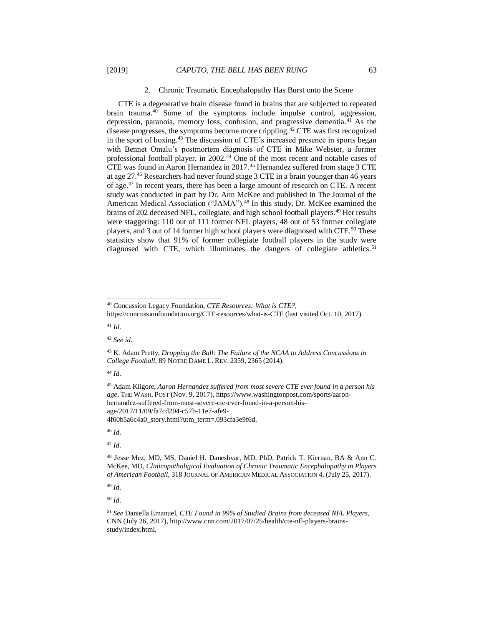#### 2. Chronic Traumatic Encephalopathy Has Burst onto the Scene

CTE is a degenerative brain disease found in brains that are subjected to repeated brain trauma.<sup>40</sup> Some of the symptoms include impulse control, aggression, depression, paranoia, memory loss, confusion, and progressive dementia.<sup>41</sup> As the disease progresses, the symptoms become more crippling.<sup>42</sup> CTE was first recognized in the sport of boxing.<sup>43</sup> The discussion of CTE's increased presence in sports began with Bennet Omalu's postmortem diagnosis of CTE in Mike Webster, a former professional football player, in 2002. <sup>44</sup> One of the most recent and notable cases of CTE was found in Aaron Hernandez in 2017.<sup>45</sup> Hernandez suffered from stage 3 CTE at age 27.<sup>46</sup> Researchers had never found stage 3 CTE in a brain younger than 46 years of age.<sup>47</sup> In recent years, there has been a large amount of research on CTE. A recent study was conducted in part by Dr. Ann McKee and published in The Journal of the American Medical Association ("JAMA").<sup>48</sup> In this study, Dr. McKee examined the brains of 202 deceased NFL, collegiate, and high school football players.<sup>49</sup> Her results were staggering: 110 out of 111 former NFL players, 48 out of 53 former collegiate players, and 3 out of 14 former high school players were diagnosed with CTE.<sup>50</sup> These statistics show that 91% of former collegiate football players in the study were diagnosed with CTE, which illuminates the dangers of collegiate athletics.<sup>51</sup>

<sup>41</sup> *Id.*

l

<sup>42</sup> *See id.*

<sup>44</sup> *Id.* 

4f60b5a6c4a0\_story.html?utm\_term=.093cfa3e9f6d.

<sup>46</sup> *Id.* 

<sup>47</sup> *Id.* 

<sup>49</sup> *Id.*

<sup>40</sup> Concussion Legacy Foundation, *CTE Resources: What is CTE?*,

https://concussionfoundation.org/CTE-resources/what-is-CTE (last visited Oct. 10, 2017).

<sup>43</sup> K. Adam Pretty, *Dropping the Ball: The Failure of the NCAA to Address Concussions in College Football*, 89 NOTRE DAME L. REV. 2359, 2365 (2014).

<sup>45</sup> Adam Kilgore, *Aaron Hernandez suffered from most severe CTE ever found in a person his age*, THE WASH. POST (Nov. 9, 2017), https://www.washingtonpost.com/sports/aaronhernandez-suffered-from-most-severe-cte-ever-found-in-a-person-hisage/2017/11/09/fa7cd204-c57b-11e7-afe9-

<sup>48</sup> Jesse Mez, MD, MS, Daniel H. Daneshvar, MD, PhD, Patrick T. Kiernan, BA & Ann C. McKee, MD, *Clinicopatholigical Evaluation of Chronic Traumatic Encephalopathy in Players of American Football*, 318 JOURNAL OF AMERICAN MEDICAL ASSOCIATION 4, (July 25, 2017).

<sup>51</sup> *See* Daniella Emanuel, *CTE Found in 99% of Studied Brains from deceased NFL Players*, CNN (July 26, 2017), http://www.cnn.com/2017/07/25/health/cte-nfl-players-brainsstudy/index.html.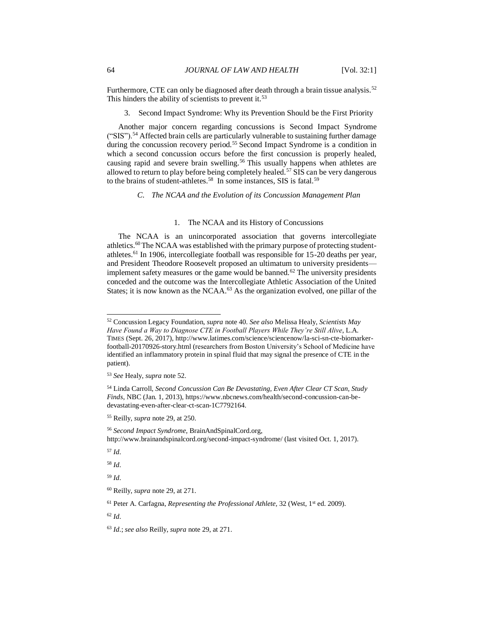Furthermore, CTE can only be diagnosed after death through a brain tissue analysis.<sup>52</sup> This hinders the ability of scientists to prevent it.<sup>53</sup>

3. Second Impact Syndrome: Why its Prevention Should be the First Priority

Another major concern regarding concussions is Second Impact Syndrome ("SIS").<sup>54</sup> Affected brain cells are particularly vulnerable to sustaining further damage during the concussion recovery period.<sup>55</sup> Second Impact Syndrome is a condition in which a second concussion occurs before the first concussion is properly healed, causing rapid and severe brain swelling.<sup>56</sup> This usually happens when athletes are allowed to return to play before being completely healed.<sup>57</sup> SIS can be very dangerous to the brains of student-athletes.<sup>58</sup> In some instances, SIS is fatal.<sup>59</sup>

*C. The NCAA and the Evolution of its Concussion Management Plan*

#### 1. The NCAA and its History of Concussions

The NCAA is an unincorporated association that governs intercollegiate athletics.60The NCAA was established with the primary purpose of protecting studentathletes.<sup>61</sup> In 1906, intercollegiate football was responsible for 15-20 deaths per year, and President Theodore Roosevelt proposed an ultimatum to university presidents implement safety measures or the game would be banned.<sup>62</sup> The university presidents conceded and the outcome was the Intercollegiate Athletic Association of the United States; it is now known as the NCAA.<sup>63</sup> As the organization evolved, one pillar of the

<sup>57</sup> *Id.*

l

<sup>58</sup> *Id.*

<sup>59</sup> *Id.*

<sup>52</sup> Concussion Legacy Foundation, *supra* note 40. *See also* Melissa Healy, *Scientists May Have Found a Way to Diagnose CTE in Football Players While They're Still Alive*, L.A. TIMES (Sept. 26, 2017), http://www.latimes.com/science/sciencenow/la-sci-sn-cte-biomarkerfootball-20170926-story.html (researchers from Boston University's School of Medicine have identified an inflammatory protein in spinal fluid that may signal the presence of CTE in the patient).

<sup>53</sup> *See* Healy, *supra* note 52.

<sup>54</sup> Linda Carroll, *Second Concussion Can Be Devastating, Even After Clear CT Scan, Study Finds*, NBC (Jan. 1, 2013), https://www.nbcnews.com/health/second-concussion-can-bedevastating-even-after-clear-ct-scan-1C7792164.

<sup>55</sup> Reilly, *supra* note 29, at 250.

<sup>56</sup> *Second Impact Syndrome*, BrainAndSpinalCord.org, http://www.brainandspinalcord.org/second-impact-syndrome/ (last visited Oct. 1, 2017).

<sup>60</sup> Reilly, *supra* note 29, at 271.

<sup>&</sup>lt;sup>61</sup> Peter A. Carfagna, *Representing the Professional Athlete*, 32 (West, 1<sup>st</sup> ed. 2009).

<sup>63</sup> *Id.*; *see also* Reilly, *supra* note 29, at 271.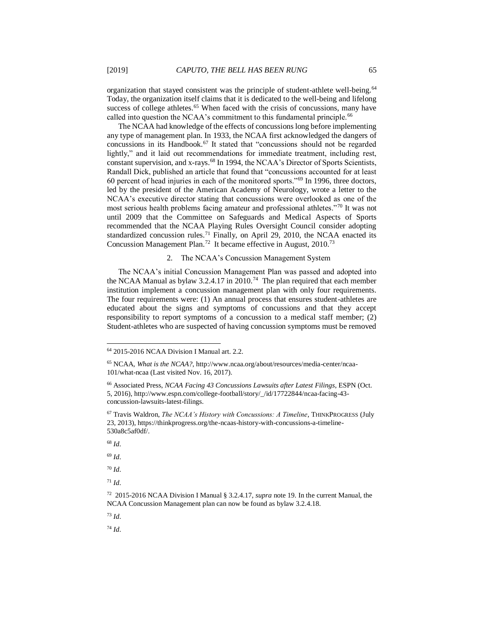organization that stayed consistent was the principle of student-athlete well-being.<sup>64</sup> Today, the organization itself claims that it is dedicated to the well-being and lifelong success of college athletes.<sup>65</sup> When faced with the crisis of concussions, many have called into question the NCAA's commitment to this fundamental principle.<sup>66</sup>

The NCAA had knowledge of the effects of concussions long before implementing any type of management plan. In 1933, the NCAA first acknowledged the dangers of concussions in its Handbook.<sup>67</sup> It stated that "concussions should not be regarded lightly," and it laid out recommendations for immediate treatment, including rest, constant supervision, and x-rays.<sup>68</sup> In 1994, the NCAA's Director of Sports Scientists, Randall Dick, published an article that found that "concussions accounted for at least 60 percent of head injuries in each of the monitored sports."<sup>69</sup> In 1996, three doctors, led by the president of the American Academy of Neurology, wrote a letter to the NCAA's executive director stating that concussions were overlooked as one of the most serious health problems facing amateur and professional athletes."<sup>70</sup> It was not until 2009 that the Committee on Safeguards and Medical Aspects of Sports recommended that the NCAA Playing Rules Oversight Council consider adopting standardized concussion rules.<sup>71</sup> Finally, on April 29, 2010, the NCAA enacted its Concussion Management Plan.<sup>72</sup> It became effective in August, 2010.<sup>73</sup>

#### 2. The NCAA's Concussion Management System

The NCAA's initial Concussion Management Plan was passed and adopted into the NCAA Manual as bylaw 3.2.4.17 in 2010.<sup>74</sup> The plan required that each member institution implement a concussion management plan with only four requirements. The four requirements were: (1) An annual process that ensures student-athletes are educated about the signs and symptoms of concussions and that they accept responsibility to report symptoms of a concussion to a medical staff member; (2) Student-athletes who are suspected of having concussion symptoms must be removed

l

<sup>69</sup> *Id.*

<sup>70</sup> *Id.*

<sup>71</sup> *Id.*

<sup>73</sup> *Id.*

<sup>64</sup> 2015-2016 NCAA Division I Manual art. 2.2.

<sup>65</sup> NCAA, *What is the NCAA?*, http://www.ncaa.org/about/resources/media-center/ncaa-101/what-ncaa (Last visited Nov. 16, 2017).

<sup>66</sup> Associated Press, *NCAA Facing 43 Concussions Lawsuits after Latest Filings*, ESPN (Oct. 5, 2016), http://www.espn.com/college-football/story/\_/id/17722844/ncaa-facing-43 concussion-lawsuits-latest-filings.

<sup>67</sup> Travis Waldron, *The NCAA's History with Concussions: A Timeline*, THINKPROGRESS (July 23, 2013), https://thinkprogress.org/the-ncaas-history-with-concussions-a-timeline-530a8c5af0df/.

<sup>68</sup> *Id.*

<sup>72</sup> 2015-2016 NCAA Division I Manual § 3.2.4.17, *supra* note 19. In the current Manual, the NCAA Concussion Management plan can now be found as bylaw 3.2.4.18.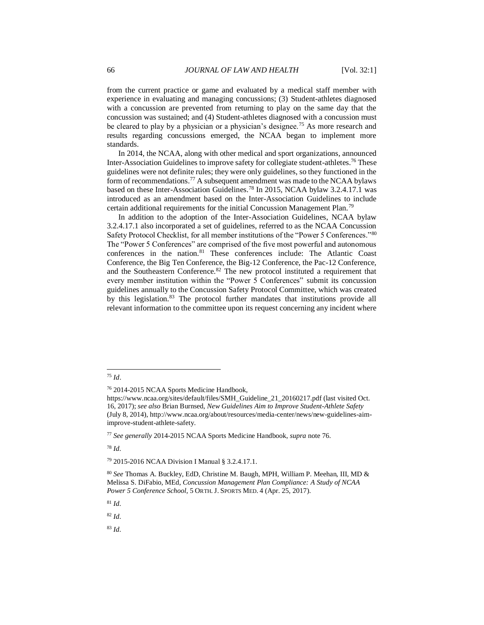from the current practice or game and evaluated by a medical staff member with experience in evaluating and managing concussions; (3) Student-athletes diagnosed with a concussion are prevented from returning to play on the same day that the concussion was sustained; and (4) Student-athletes diagnosed with a concussion must be cleared to play by a physician or a physician's designee.<sup>75</sup> As more research and results regarding concussions emerged, the NCAA began to implement more standards.

In 2014, the NCAA, along with other medical and sport organizations, announced Inter-Association Guidelines to improve safety for collegiate student-athletes.<sup>76</sup> These guidelines were not definite rules; they were only guidelines, so they functioned in the form of recommendations.<sup>77</sup> A subsequent amendment was made to the NCAA bylaws based on these Inter-Association Guidelines.<sup>78</sup> In 2015, NCAA bylaw 3.2.4.17.1 was introduced as an amendment based on the Inter-Association Guidelines to include certain additional requirements for the initial Concussion Management Plan.<sup>79</sup>

In addition to the adoption of the Inter-Association Guidelines, NCAA bylaw 3.2.4.17.1 also incorporated a set of guidelines, referred to as the NCAA Concussion Safety Protocol Checklist, for all member institutions of the "Power 5 Conferences."<sup>80</sup> The "Power 5 Conferences" are comprised of the five most powerful and autonomous conferences in the nation.<sup>81</sup> These conferences include: The Atlantic Coast Conference, the Big Ten Conference, the Big-12 Conference, the Pac-12 Conference, and the Southeastern Conference.<sup>82</sup> The new protocol instituted a requirement that every member institution within the "Power 5 Conferences" submit its concussion guidelines annually to the Concussion Safety Protocol Committee, which was created by this legislation.<sup>83</sup> The protocol further mandates that institutions provide all relevant information to the committee upon its request concerning any incident where

l

<sup>78</sup> *Id.*

<sup>81</sup> *Id.*

<sup>82</sup> *Id.* 

<sup>75</sup> *Id*.

<sup>76</sup> 2014-2015 NCAA Sports Medicine Handbook,

https://www.ncaa.org/sites/default/files/SMH\_Guideline\_21\_20160217.pdf (last visited Oct. 16, 2017); *see also* Brian Burnsed, *New Guidelines Aim to Improve Student-Athlete Safety* (July 8, 2014), http://www.ncaa.org/about/resources/media-center/news/new-guidelines-aimimprove-student-athlete-safety.

<sup>77</sup> *See generally* 2014-2015 NCAA Sports Medicine Handbook, *supra* note 76.

<sup>79</sup> 2015-2016 NCAA Division I Manual § 3.2.4.17.1.

<sup>80</sup> *See* Thomas A. Buckley, EdD, Christine M. Baugh, MPH, William P. Meehan, III, MD & Melissa S. DiFabio, MEd, *Concussion Management Plan Compliance: A Study of NCAA Power 5 Conference School*, 5 ORTH.J. SPORTS MED. 4 (Apr. 25, 2017).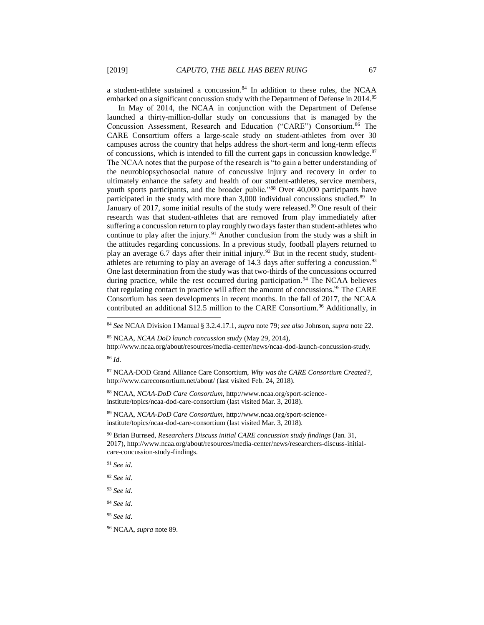a student-athlete sustained a concussion. $84$  In addition to these rules, the NCAA embarked on a significant concussion study with the Department of Defense in 2014.<sup>85</sup>

In May of 2014, the NCAA in conjunction with the Department of Defense launched a thirty-million-dollar study on concussions that is managed by the Concussion Assessment, Research and Education ("CARE") Consortium.<sup>86</sup> The CARE Consortium offers a large-scale study on student-athletes from over 30 campuses across the country that helps address the short-term and long-term effects of concussions, which is intended to fill the current gaps in concussion knowledge.<sup>87</sup> The NCAA notes that the purpose of the research is "to gain a better understanding of the neurobiopsychosocial nature of concussive injury and recovery in order to ultimately enhance the safety and health of our student-athletes, service members, youth sports participants, and the broader public."<sup>88</sup> Over 40,000 participants have participated in the study with more than 3,000 individual concussions studied.<sup>89</sup> In January of 2017, some initial results of the study were released.<sup>90</sup> One result of their research was that student-athletes that are removed from play immediately after suffering a concussion return to play roughly two days faster than student-athletes who continue to play after the injury.<sup>91</sup> Another conclusion from the study was a shift in the attitudes regarding concussions. In a previous study, football players returned to play an average 6.7 days after their initial injury.<sup>92</sup> But in the recent study, studentathletes are returning to play an average of  $14.3$  days after suffering a concussion.<sup>93</sup> One last determination from the study was that two-thirds of the concussions occurred during practice, while the rest occurred during participation.<sup>94</sup> The NCAA believes that regulating contact in practice will affect the amount of concussions.<sup>95</sup> The CARE Consortium has seen developments in recent months. In the fall of 2017, the NCAA contributed an additional  $$12.5$  million to the CARE Consortium.<sup>96</sup> Additionally, in

<sup>86</sup> *Id.* 

l

<sup>89</sup> NCAA, *NCAA-DoD Care Consortium*, http://www.ncaa.org/sport-scienceinstitute/topics/ncaa-dod-care-consortium (last visited Mar. 3, 2018).

<sup>90</sup> Brian Burnsed, *Researchers Discuss initial CARE concussion study findings* (Jan. 31, 2017), http://www.ncaa.org/about/resources/media-center/news/researchers-discuss-initialcare-concussion-study-findings.

<sup>91</sup> *See id.*

<sup>92</sup> *See id.* 

- <sup>93</sup> *See id.*
- <sup>94</sup> *See id.*
- <sup>95</sup> *See id.*

<sup>84</sup> *See* NCAA Division I Manual § 3.2.4.17.1, *supra* note 79; *see also* Johnson, *supra* note 22.

<sup>85</sup> NCAA, *NCAA DoD launch concussion study* (May 29, 2014),

http://www.ncaa.org/about/resources/media-center/news/ncaa-dod-launch-concussion-study.

<sup>87</sup> NCAA-DOD Grand Alliance Care Consortium, *Why was the CARE Consortium Created?*, http://www.careconsortium.net/about/ (last visited Feb. 24, 2018).

<sup>88</sup> NCAA, *NCAA-DoD Care Consortium*, http://www.ncaa.org/sport-scienceinstitute/topics/ncaa-dod-care-consortium (last visited Mar. 3, 2018).

<sup>96</sup> NCAA, *supra* note 89.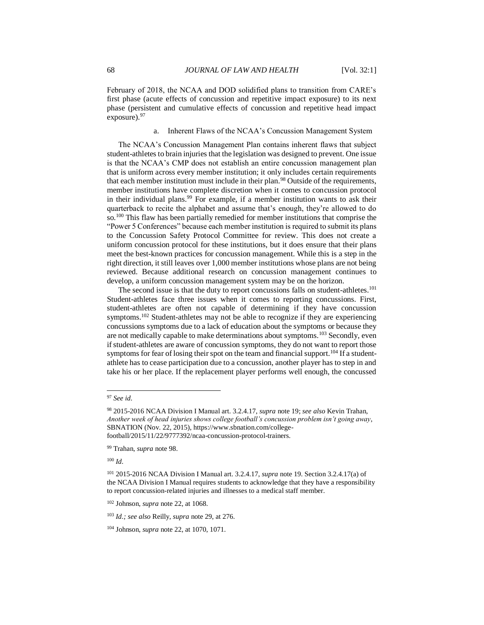February of 2018, the NCAA and DOD solidified plans to transition from CARE's first phase (acute effects of concussion and repetitive impact exposure) to its next phase (persistent and cumulative effects of concussion and repetitive head impact exposure).<sup>97</sup>

## a. Inherent Flaws of the NCAA's Concussion Management System

The NCAA's Concussion Management Plan contains inherent flaws that subject student-athletes to brain injuries that the legislation was designed to prevent. One issue is that the NCAA's CMP does not establish an entire concussion management plan that is uniform across every member institution; it only includes certain requirements that each member institution must include in their plan.<sup>98</sup> Outside of the requirements, member institutions have complete discretion when it comes to concussion protocol in their individual plans.<sup>99</sup> For example, if a member institution wants to ask their quarterback to recite the alphabet and assume that's enough, they're allowed to do so.<sup>100</sup> This flaw has been partially remedied for member institutions that comprise the "Power 5 Conferences" because each member institution is required to submit its plans to the Concussion Safety Protocol Committee for review. This does not create a uniform concussion protocol for these institutions, but it does ensure that their plans meet the best-known practices for concussion management. While this is a step in the right direction, it still leaves over 1,000 member institutions whose plans are not being reviewed. Because additional research on concussion management continues to develop, a uniform concussion management system may be on the horizon.

The second issue is that the duty to report concussions falls on student-athletes.<sup>101</sup> Student-athletes face three issues when it comes to reporting concussions. First, student-athletes are often not capable of determining if they have concussion symptoms.<sup>102</sup> Student-athletes may not be able to recognize if they are experiencing concussions symptoms due to a lack of education about the symptoms or because they are not medically capable to make determinations about symptoms.<sup>103</sup> Secondly, even if student-athletes are aware of concussion symptoms, they do not want to report those symptoms for fear of losing their spot on the team and financial support.<sup>104</sup> If a studentathlete has to cease participation due to a concussion, another player has to step in and take his or her place. If the replacement player performs well enough, the concussed

<sup>97</sup> *See id.*

<sup>98</sup> 2015-2016 NCAA Division I Manual art. 3.2.4.17, *supra* note 19; *see also* Kevin Trahan, *Another week of head injuries shows college football's concussion problem isn't going away*, SBNATION (Nov. 22, 2015), https://www.sbnation.com/collegefootball/2015/11/22/9777392/ncaa-concussion-protocol-trainers.

<sup>99</sup> Trahan, *supra* note 98.

<sup>100</sup> *Id.*

<sup>101</sup> 2015-2016 NCAA Division I Manual art. 3.2.4.17, *supra* note 19. Section 3.2.4.17(a) of the NCAA Division I Manual requires students to acknowledge that they have a responsibility to report concussion-related injuries and illnesses to a medical staff member.

<sup>102</sup> Johnson, *supra* note 22, at 1068.

<sup>103</sup> *Id.; see also* Reilly, *supra* note 29, at 276.

<sup>104</sup> Johnson, *supra* note 22, at 1070, 1071.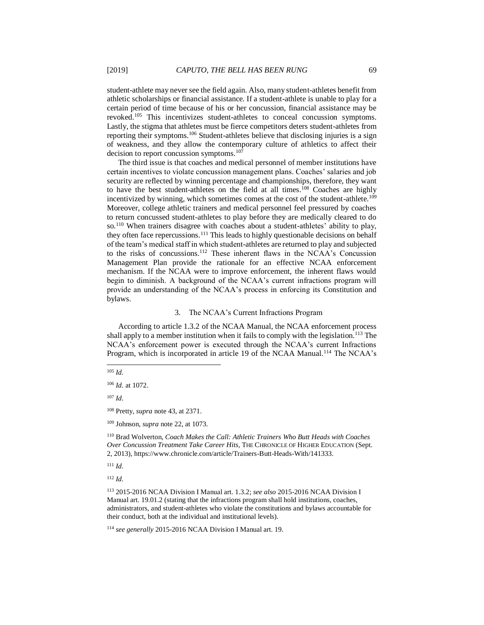student-athlete may never see the field again. Also, many student-athletes benefit from athletic scholarships or financial assistance. If a student-athlete is unable to play for a certain period of time because of his or her concussion, financial assistance may be revoked.<sup>105</sup> This incentivizes student-athletes to conceal concussion symptoms. Lastly, the stigma that athletes must be fierce competitors deters student-athletes from reporting their symptoms.<sup>106</sup> Student-athletes believe that disclosing injuries is a sign of weakness, and they allow the contemporary culture of athletics to affect their decision to report concussion symptoms.<sup>107</sup>

The third issue is that coaches and medical personnel of member institutions have certain incentives to violate concussion management plans. Coaches' salaries and job security are reflected by winning percentage and championships, therefore, they want to have the best student-athletes on the field at all times.<sup>108</sup> Coaches are highly incentivized by winning, which sometimes comes at the cost of the student-athlete.<sup>109</sup> Moreover, college athletic trainers and medical personnel feel pressured by coaches to return concussed student-athletes to play before they are medically cleared to do so.<sup>110</sup> When trainers disagree with coaches about a student-athletes' ability to play, they often face repercussions.<sup>111</sup> This leads to highly questionable decisions on behalf of the team's medical staff in which student-athletes are returned to play and subjected to the risks of concussions.<sup>112</sup> These inherent flaws in the NCAA's Concussion Management Plan provide the rationale for an effective NCAA enforcement mechanism. If the NCAA were to improve enforcement, the inherent flaws would begin to diminish. A background of the NCAA's current infractions program will provide an understanding of the NCAA's process in enforcing its Constitution and bylaws.

#### 3. The NCAA's Current Infractions Program

According to article 1.3.2 of the NCAA Manual, the NCAA enforcement process shall apply to a member institution when it fails to comply with the legislation.<sup>113</sup> The NCAA's enforcement power is executed through the NCAA's current Infractions Program, which is incorporated in article 19 of the NCAA Manual.<sup>114</sup> The NCAA's

l

 $107$  *Id.* 

<sup>108</sup> Pretty, *supra* note 43, at 2371.

<sup>110</sup> Brad Wolverton, *Coach Makes the Call: Athletic Trainers Who Butt Heads with Coaches Over Concussion Treatment Take Career Hits*, THE CHRONICLE OF HIGHER EDUCATION (Sept. 2, 2013), https://www.chronicle.com/article/Trainers-Butt-Heads-With/141333.

<sup>111</sup> *Id.*

 $^{105}$   $\emph{Id}.$ 

<sup>106</sup> *Id.* at 1072.

<sup>109</sup> Johnson, *supra* note 22, at 1073.

<sup>113</sup> 2015-2016 NCAA Division I Manual art. 1.3.2; *see also* 2015-2016 NCAA Division I Manual art. 19.01.2 (stating that the infractions program shall hold institutions, coaches, administrators, and student-athletes who violate the constitutions and bylaws accountable for their conduct, both at the individual and institutional levels).

<sup>114</sup> *see generally* 2015-2016 NCAA Division I Manual art. 19.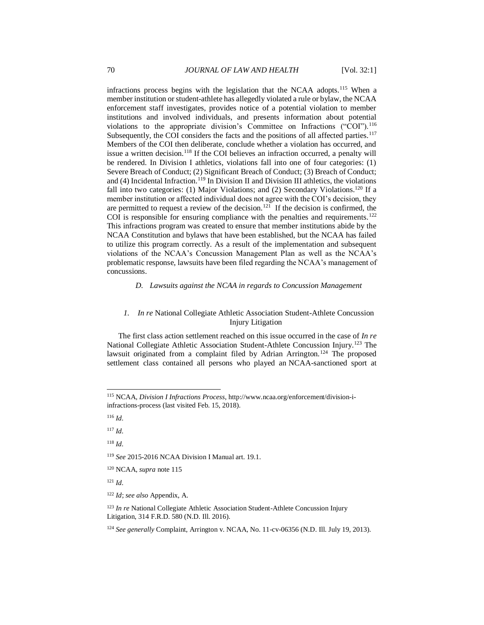infractions process begins with the legislation that the NCAA adopts.<sup>115</sup> When a member institution or student-athlete has allegedly violated a rule or bylaw, the NCAA enforcement staff investigates, provides notice of a potential violation to member institutions and involved individuals, and presents information about potential violations to the appropriate division's Committee on Infractions ("COI").<sup>116</sup> Subsequently, the COI considers the facts and the positions of all affected parties.<sup>117</sup> Members of the COI then deliberate, conclude whether a violation has occurred, and issue a written decision.<sup>118</sup> If the COI believes an infraction occurred, a penalty will be rendered. In Division I athletics, violations fall into one of four categories: (1) Severe Breach of Conduct; (2) Significant Breach of Conduct; (3) Breach of Conduct; and (4) Incidental Infraction.<sup>119</sup> In Division II and Division III athletics, the violations fall into two categories: (1) Major Violations; and (2) Secondary Violations.<sup>120</sup> If a member institution or affected individual does not agree with the COI's decision, they are permitted to request a review of the decision.<sup>121</sup> If the decision is confirmed, the COI is responsible for ensuring compliance with the penalties and requirements.<sup>122</sup> This infractions program was created to ensure that member institutions abide by the NCAA Constitution and bylaws that have been established, but the NCAA has failed to utilize this program correctly. As a result of the implementation and subsequent violations of the NCAA's Concussion Management Plan as well as the NCAA's problematic response, lawsuits have been filed regarding the NCAA's management of concussions.

*D. Lawsuits against the NCAA in regards to Concussion Management*

# *1. In re* National Collegiate Athletic Association Student-Athlete Concussion Injury Litigation

The first class action settlement reached on this issue occurred in the case of *In re* National Collegiate Athletic Association Student-Athlete Concussion Injury.<sup>123</sup> The lawsuit originated from a complaint filed by Adrian Arrington.<sup>124</sup> The proposed settlement class contained all persons who played an NCAA-sanctioned sport at

l

<sup>119</sup> *See* 2015-2016 NCAA Division I Manual art. 19.1.

<sup>120</sup> NCAA, *supra* note 115

<sup>121</sup> *Id.* 

<sup>122</sup> *Id*; *see also* Appendix, A.

<sup>123</sup> *In re* National Collegiate Athletic Association Student-Athlete Concussion Injury Litigation, 314 F.R.D. 580 (N.D. Ill. 2016).

<sup>124</sup> *See generally* Complaint, Arrington v. NCAA, No. 11-cv-06356 (N.D. Ill. July 19, 2013).

<sup>115</sup> NCAA, *Division I Infractions Process*, http://www.ncaa.org/enforcement/division-iinfractions-process (last visited Feb. 15, 2018).

<sup>116</sup> *Id.* 

<sup>117</sup> *Id.* 

<sup>118</sup> *Id.*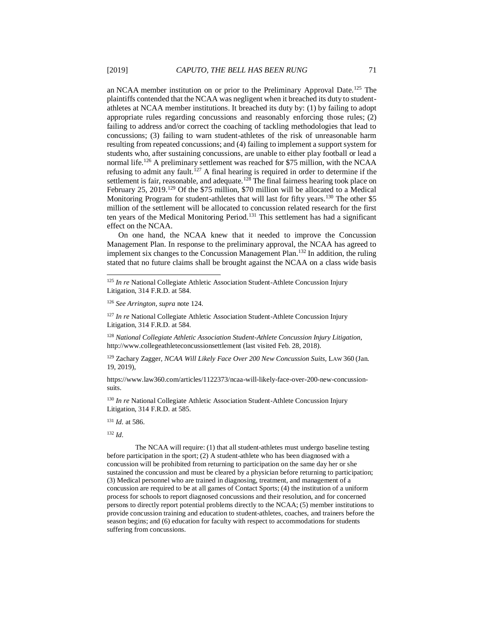an NCAA member institution on or prior to the Preliminary Approval Date.<sup>125</sup> The plaintiffs contended that the NCAA was negligent when it breached its duty to studentathletes at NCAA member institutions. It breached its duty by: (1) by failing to adopt appropriate rules regarding concussions and reasonably enforcing those rules; (2) failing to address and/or correct the coaching of tackling methodologies that lead to concussions; (3) failing to warn student-athletes of the risk of unreasonable harm resulting from repeated concussions; and (4) failing to implement a support system for students who, after sustaining concussions, are unable to either play football or lead a normal life.<sup>126</sup> A preliminary settlement was reached for \$75 million, with the NCAA refusing to admit any fault.<sup>127</sup> A final hearing is required in order to determine if the settlement is fair, reasonable, and adequate.<sup>128</sup> The final fairness hearing took place on February 25, 2019.<sup>129</sup> Of the \$75 million, \$70 million will be allocated to a Medical Monitoring Program for student-athletes that will last for fifty years.<sup>130</sup> The other \$5 million of the settlement will be allocated to concussion related research for the first ten years of the Medical Monitoring Period.<sup>131</sup> This settlement has had a significant effect on the NCAA.

On one hand, the NCAA knew that it needed to improve the Concussion Management Plan. In response to the preliminary approval, the NCAA has agreed to implement six changes to the Concussion Management Plan.<sup>132</sup> In addition, the ruling stated that no future claims shall be brought against the NCAA on a class wide basis

<sup>127</sup> *In re* National Collegiate Athletic Association Student-Athlete Concussion Injury Litigation, 314 F.R.D. at 584.

<sup>128</sup> *National Collegiate Athletic Association Student-Athlete Concussion Injury Litigation*, http://www.collegeathleteconcussionsettlement (last visited Feb. 28, 2018).

<sup>129</sup> Zachary Zagger, *NCAA Will Likely Face Over 200 New Concussion Suits*, LAW 360 (Jan. 19, 2019),

https://www.law360.com/articles/1122373/ncaa-will-likely-face-over-200-new-concussionsuits.

<sup>130</sup> *In re* National Collegiate Athletic Association Student-Athlete Concussion Injury Litigation, 314 F.R.D. at 585.

<sup>131</sup> *Id.* at 586.

<sup>132</sup> *Id.*

l

The NCAA will require: (1) that all student-athletes must undergo baseline testing before participation in the sport; (2) A student-athlete who has been diagnosed with a concussion will be prohibited from returning to participation on the same day her or she sustained the concussion and must be cleared by a physician before returning to participation; (3) Medical personnel who are trained in diagnosing, treatment, and management of a concussion are required to be at all games of Contact Sports; (4) the institution of a uniform process for schools to report diagnosed concussions and their resolution, and for concerned persons to directly report potential problems directly to the NCAA; (5) member institutions to provide concussion training and education to student-athletes, coaches, and trainers before the season begins; and (6) education for faculty with respect to accommodations for students suffering from concussions.

<sup>&</sup>lt;sup>125</sup> *In re* National Collegiate Athletic Association Student-Athlete Concussion Injury Litigation, 314 F.R.D. at 584.

<sup>126</sup> *See Arrington*, *supra* note 124.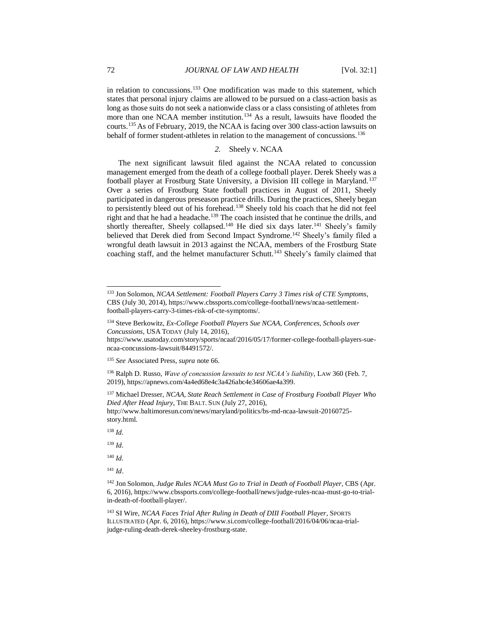in relation to concussions.<sup>133</sup> One modification was made to this statement, which states that personal injury claims are allowed to be pursued on a class-action basis as long as those suits do not seek a nationwide class or a class consisting of athletes from more than one NCAA member institution.<sup>134</sup> As a result, lawsuits have flooded the courts.<sup>135</sup> As of February, 2019, the NCAA is facing over 300 class-action lawsuits on behalf of former student-athletes in relation to the management of concussions.<sup>136</sup>

# *2.* Sheely v. NCAA

The next significant lawsuit filed against the NCAA related to concussion management emerged from the death of a college football player. Derek Sheely was a football player at Frostburg State University, a Division III college in Maryland.<sup>137</sup> Over a series of Frostburg State football practices in August of 2011, Sheely participated in dangerous preseason practice drills. During the practices, Sheely began to persistently bleed out of his forehead.<sup>138</sup> Sheely told his coach that he did not feel right and that he had a headache.<sup>139</sup> The coach insisted that he continue the drills, and shortly thereafter, Sheely collapsed.<sup>140</sup> He died six days later.<sup>141</sup> Sheely's family believed that Derek died from Second Impact Syndrome.<sup>142</sup> Sheely's family filed a wrongful death lawsuit in 2013 against the NCAA, members of the Frostburg State coaching staff, and the helmet manufacturer Schutt.<sup>143</sup> Sheely's family claimed that

<sup>137</sup> Michael Dresser, *NCAA, State Reach Settlement in Case of Frostburg Football Player Who Died After Head Injury*, THE BALT. SUN (July 27, 2016), http://www.baltimoresun.com/news/maryland/politics/bs-md-ncaa-lawsuit-20160725-

story.html.

<sup>138</sup> *Id.* 

l

<sup>139</sup> *Id.* 

 $140$  *Id.* 

<sup>141</sup> *Id*.

<sup>142</sup> Jon Solomon, *Judge Rules NCAA Must Go to Trial in Death of Football Player*, CBS (Apr. 6, 2016), https://www.cbssports.com/college-football/news/judge-rules-ncaa-must-go-to-trialin-death-of-football-player/.

<sup>143</sup> SI Wire, *NCAA Faces Trial After Ruling in Death of DIII Football Player*, SPORTS ILLUSTRATED (Apr. 6, 2016), https://www.si.com/college-football/2016/04/06/ncaa-trialjudge-ruling-death-derek-sheeley-frostburg-state.

<sup>133</sup> Jon Solomon, *NCAA Settlement: Football Players Carry 3 Times risk of CTE Symptoms*, CBS (July 30, 2014), https://www.cbssports.com/college-football/news/ncaa-settlementfootball-players-carry-3-times-risk-of-cte-symptoms/.

<sup>134</sup> Steve Berkowitz, *Ex-College Football Players Sue NCAA, Conferences, Schools over Concussions*, USA TODAY (July 14, 2016),

https://www.usatoday.com/story/sports/ncaaf/2016/05/17/former-college-football-players-suencaa-concussions-lawsuit/84491572/.

<sup>135</sup> *See* Associated Press, *supra* note 66.

<sup>136</sup> Ralph D. Russo, *Wave of concussion lawsuits to test NCAA's liability*, LAW 360 (Feb. 7, 2019), https://apnews.com/4a4ed68e4c3a426abc4e34606ae4a399.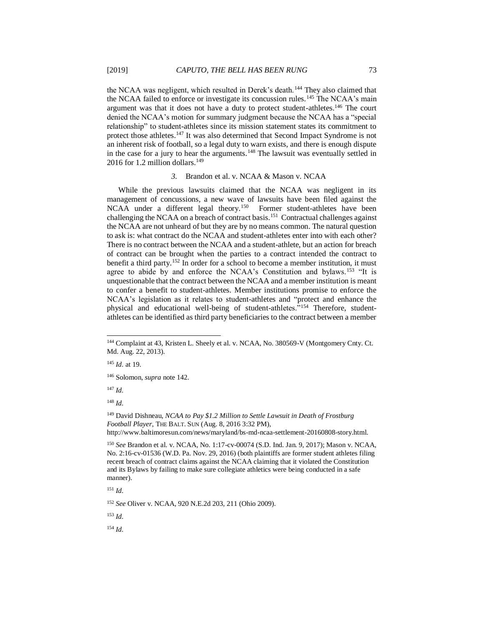the NCAA was negligent, which resulted in Derek's death.<sup>144</sup> They also claimed that the NCAA failed to enforce or investigate its concussion rules.<sup>145</sup> The NCAA's main argument was that it does not have a duty to protect student-athletes.<sup>146</sup> The court denied the NCAA's motion for summary judgment because the NCAA has a "special relationship" to student-athletes since its mission statement states its commitment to protect those athletes.<sup>147</sup> It was also determined that Second Impact Syndrome is not an inherent risk of football, so a legal duty to warn exists, and there is enough dispute in the case for a jury to hear the arguments.<sup>148</sup> The lawsuit was eventually settled in 2016 for 1.2 million dollars. $149$ 

#### *3.* Brandon et al. v. NCAA & Mason v. NCAA

While the previous lawsuits claimed that the NCAA was negligent in its management of concussions, a new wave of lawsuits have been filed against the NCAA under a different legal theory.<sup>150</sup> Former student-athletes have been challenging the NCAA on a breach of contract basis.<sup>151</sup> Contractual challenges against the NCAA are not unheard of but they are by no means common. The natural question to ask is: what contract do the NCAA and student-athletes enter into with each other? There is no contract between the NCAA and a student-athlete, but an action for breach of contract can be brought when the parties to a contract intended the contract to benefit a third party.<sup>152</sup> In order for a school to become a member institution, it must agree to abide by and enforce the NCAA's Constitution and bylaws.<sup>153</sup> "It is unquestionable that the contract between the NCAA and a member institution is meant to confer a benefit to student-athletes. Member institutions promise to enforce the NCAA's legislation as it relates to student-athletes and "protect and enhance the physical and educational well-being of student-athletes."<sup>154</sup> Therefore, studentathletes can be identified as third party beneficiaries to the contract between a member

<sup>147</sup> *Id.* 

l

<sup>149</sup> David Dishneau, *NCAA to Pay \$1.2 Million to Settle Lawsuit in Death of Frostburg Football Player*, THE BALT. SUN (Aug. 8, 2016 3:32 PM),

http://www.baltimoresun.com/news/maryland/bs-md-ncaa-settlement-20160808-story.html.

<sup>153</sup> *Id.*

<sup>&</sup>lt;sup>144</sup> Complaint at 43, Kristen L. Sheely et al. v. NCAA, No. 380569-V (Montgomery Cnty. Ct. Md. Aug. 22, 2013).

<sup>145</sup> *Id.* at 19.

<sup>146</sup> Solomon, *supra* note 142.

<sup>148</sup> *Id.* 

<sup>150</sup> *See* Brandon et al. v. NCAA, No. 1:17-cv-00074 (S.D. Ind. Jan. 9, 2017); Mason v. NCAA, No. 2:16-cv-01536 (W.D. Pa. Nov. 29, 2016) (both plaintiffs are former student athletes filing recent breach of contract claims against the NCAA claiming that it violated the Constitution and its Bylaws by failing to make sure collegiate athletics were being conducted in a safe manner).

<sup>151</sup> *Id.* 

<sup>152</sup> *See* Oliver v. NCAA, 920 N.E.2d 203, 211 (Ohio 2009).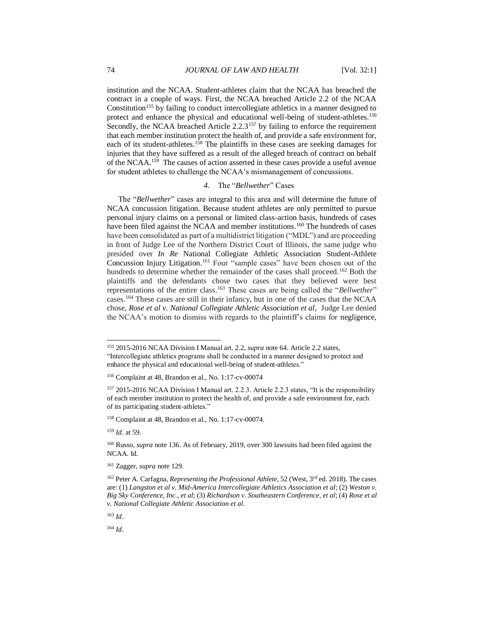institution and the NCAA. Student-athletes claim that the NCAA has breached the contract in a couple of ways. First, the NCAA breached Article 2.2 of the NCAA Constitution<sup>155</sup> by failing to conduct intercollegiate athletics in a manner designed to protect and enhance the physical and educational well-being of student-athletes.<sup>156</sup> Secondly, the NCAA breached Article 2.2.3<sup>157</sup> by failing to enforce the requirement that each member institution protect the health of, and provide a safe environment for, each of its student-athletes.<sup>158</sup> The plaintiffs in these cases are seeking damages for injuries that they have suffered as a result of the alleged breach of contract on behalf of the NCAA.<sup>159</sup> The causes of action asserted in these cases provide a useful avenue for student athletes to challenge the NCAA's mismanagement of concussions.

# *4.* The "*Bellwether*" Cases

The "*Bellwether*" cases are integral to this area and will determine the future of NCAA concussion litigation. Because student athletes are only permitted to pursue personal injury claims on a personal or limited class-action basis, hundreds of cases have been filed against the NCAA and member institutions.<sup>160</sup> The hundreds of cases have been consolidated as part of a multidistrict litigation ("MDL") and are proceeding in front of Judge Lee of the Northern District Court of Illinois, the same judge who presided over *In Re* National Collegiate Athletic Association Student-Athlete Concussion Injury Litigation. <sup>161</sup> Four "sample cases" have been chosen out of the hundreds to determine whether the remainder of the cases shall proceed.<sup>162</sup> Both the plaintiffs and the defendants chose two cases that they believed were best representations of the entire class.<sup>163</sup> These cases are being called the "*Bellwether*" cases.<sup>164</sup> These cases are still in their infancy, but in one of the cases that the NCAA chose, *Rose et al v. National Collegiate Athletic Association et al*, Judge Lee denied the NCAA's motion to dismiss with regards to the plaintiff's claims for negligence,

<sup>159</sup> *Id.* at 59.

l

<sup>161</sup> Zagger, *supra* note 129*.*

<sup>163</sup> *Id*.

<sup>155</sup> 2015-2016 NCAA Division I Manual art. 2.2, *supra* note 64. Article 2.2 states, "Intercollegiate athletics programs shall be conducted in a manner designed to protect and enhance the physical and educational well-being of student-athletes."

<sup>156</sup> Complaint at 48, Brandon et al., No. 1:17-cv-00074

<sup>157</sup> 2015-2016 NCAA Division I Manual art. 2.2.3. Article 2.2.3 states, "It is the responsibility of each member institution to protect the health of, and provide a safe environment for, each of its participating student-athletes."

<sup>158</sup> Complaint at 48, Brandon et al., No. 1:17-cv-00074.

<sup>160</sup> Russo, *supra* note 136. As of February, 2019, over 300 lawsuits had been filed against the NCAA. Id.

<sup>162</sup> Peter A. Carfagna, *Representing the Professional Athlete,* 52 (West, 3rd ed. 2018). The cases are: (1) *Langston et al v. Mid-America Intercollegiate Athletics Association et al*; (2) *Weston v. Big Sky Conference, Inc., et al*; (3) *Richardson v. Southeastern Conference, et al*; (4) *Rose et al v. National Collegiate Athletic Association et al*.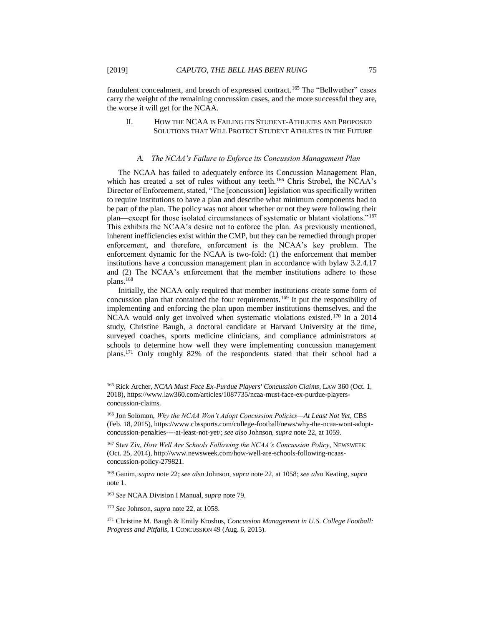l

fraudulent concealment, and breach of expressed contract.<sup>165</sup> The "Bellwether" cases carry the weight of the remaining concussion cases, and the more successful they are, the worse it will get for the NCAA.

# II. HOW THE NCAA IS FAILING ITS STUDENT-ATHLETES AND PROPOSED SOLUTIONS THAT WILL PROTECT STUDENT ATHLETES IN THE FUTURE

#### *A. The NCAA's Failure to Enforce its Concussion Management Plan*

The NCAA has failed to adequately enforce its Concussion Management Plan, which has created a set of rules without any teeth.<sup>166</sup> Chris Strobel, the NCAA's Director of Enforcement, stated, "The [concussion] legislation was specifically written to require institutions to have a plan and describe what minimum components had to be part of the plan. The policy was not about whether or not they were following their plan—except for those isolated circumstances of systematic or blatant violations."<sup>167</sup> This exhibits the NCAA's desire not to enforce the plan. As previously mentioned, inherent inefficiencies exist within the CMP, but they can be remedied through proper enforcement, and therefore, enforcement is the NCAA's key problem. The enforcement dynamic for the NCAA is two-fold: (1) the enforcement that member institutions have a concussion management plan in accordance with bylaw 3.2.4.17 and (2) The NCAA's enforcement that the member institutions adhere to those plans.<sup>168</sup>

Initially, the NCAA only required that member institutions create some form of concussion plan that contained the four requirements.<sup>169</sup> It put the responsibility of implementing and enforcing the plan upon member institutions themselves, and the NCAA would only get involved when systematic violations existed.<sup>170</sup> In a 2014 study, Christine Baugh, a doctoral candidate at Harvard University at the time, surveyed coaches, sports medicine clinicians, and compliance administrators at schools to determine how well they were implementing concussion management plans.<sup>171</sup> Only roughly 82% of the respondents stated that their school had a

<sup>165</sup> Rick Archer, *NCAA Must Face Ex-Purdue Players' Concussion Claims*, LAW 360 (Oct. 1, 2018), https://www.law360.com/articles/1087735/ncaa-must-face-ex-purdue-playersconcussion-claims.

<sup>166</sup> Jon Solomon, *Why the NCAA Won't Adopt Concussion Policies—At Least Not Yet*, CBS (Feb. 18, 2015), https://www.cbssports.com/college-football/news/why-the-ncaa-wont-adoptconcussion-penalties----at-least-not-yet/; *see also* Johnson, *supra* note 22, at 1059.

<sup>167</sup> Stav Ziv, *How Well Are Schools Following the NCAA's Concussion Policy*, NEWSWEEK (Oct. 25, 2014), http://www.newsweek.com/how-well-are-schools-following-ncaasconcussion-policy-279821.

<sup>168</sup> Ganim, *supra* note 22; *see also* Johnson, *supra* note 22, at 1058; *see also* Keating, *supra*  note 1.

<sup>169</sup> *See* NCAA Division I Manual, *supra* note 79.

<sup>170</sup> *See* Johnson, *supra* note 22, at 1058.

<sup>171</sup> Christine M. Baugh & Emily Kroshus, *Concussion Management in U.S. College Football: Progress and Pitfalls*, 1 CONCUSSION 49 (Aug. 6, 2015).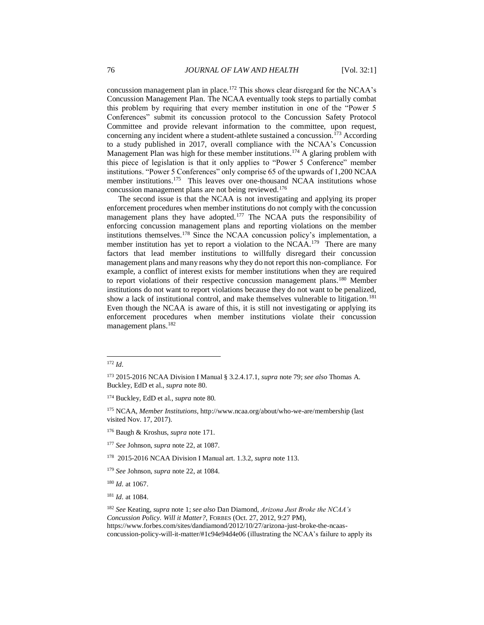concussion management plan in place.<sup>172</sup> This shows clear disregard for the NCAA's Concussion Management Plan. The NCAA eventually took steps to partially combat this problem by requiring that every member institution in one of the "Power 5 Conferences" submit its concussion protocol to the Concussion Safety Protocol Committee and provide relevant information to the committee, upon request, concerning any incident where a student-athlete sustained a concussion.<sup>173</sup> According to a study published in 2017, overall compliance with the NCAA's Concussion Management Plan was high for these member institutions.<sup>174</sup> A glaring problem with this piece of legislation is that it only applies to "Power 5 Conference" member institutions. "Power 5 Conferences" only comprise 65 of the upwards of 1,200 NCAA member institutions.<sup>175</sup> This leaves over one-thousand NCAA institutions whose concussion management plans are not being reviewed.<sup>176</sup>

The second issue is that the NCAA is not investigating and applying its proper enforcement procedures when member institutions do not comply with the concussion management plans they have adopted.<sup>177</sup> The NCAA puts the responsibility of enforcing concussion management plans and reporting violations on the member institutions themselves.<sup>178</sup> Since the NCAA concussion policy's implementation, a member institution has yet to report a violation to the NCAA.<sup>179</sup> There are many factors that lead member institutions to willfully disregard their concussion management plans and many reasons why they do not report this non-compliance. For example, a conflict of interest exists for member institutions when they are required to report violations of their respective concussion management plans.<sup>180</sup> Member institutions do not want to report violations because they do not want to be penalized, show a lack of institutional control, and make themselves vulnerable to litigation.<sup>181</sup> Even though the NCAA is aware of this, it is still not investigating or applying its enforcement procedures when member institutions violate their concussion management plans.<sup>182</sup>

<sup>172</sup> *Id.*

<sup>173</sup> 2015-2016 NCAA Division I Manual § 3.2.4.17.1, *supra* note 79; *see also* Thomas A. Buckley, EdD et al., *supra* note 80.

<sup>174</sup> Buckley, EdD et al., *supra* note 80*.* 

<sup>175</sup> NCAA, *Member Institutions*, http://www.ncaa.org/about/who-we-are/membership (last visited Nov. 17, 2017).

<sup>176</sup> Baugh & Kroshus, *supra* note 171.

<sup>177</sup> *See* Johnson, *supra* note 22, at 1087.

<sup>178</sup> 2015-2016 NCAA Division I Manual art. 1.3.2, *supra* note 113.

<sup>179</sup> *See* Johnson, *supra* note 22, at 1084.

<sup>180</sup> *Id.* at 1067.

<sup>181</sup> *Id.* at 1084.

<sup>182</sup> *See* Keating, *supra* note 1; *see also* Dan Diamond, *Arizona Just Broke the NCAA's Concussion Policy. Will it Matter?*, FORBES (Oct. 27, 2012, 9:27 PM), https://www.forbes.com/sites/dandiamond/2012/10/27/arizona-just-broke-the-ncaasconcussion-policy-will-it-matter/#1c94e94d4e06 (illustrating the NCAA's failure to apply its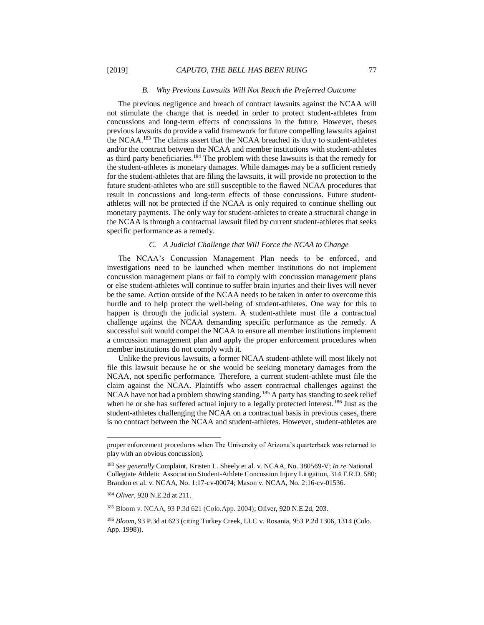#### *B. Why Previous Lawsuits Will Not Reach the Preferred Outcome*

The previous negligence and breach of contract lawsuits against the NCAA will not stimulate the change that is needed in order to protect student-athletes from concussions and long-term effects of concussions in the future. However, theses previous lawsuits do provide a valid framework for future compelling lawsuits against the NCAA.<sup>183</sup> The claims assert that the NCAA breached its duty to student-athletes and/or the contract between the NCAA and member institutions with student-athletes as third party beneficiaries.<sup>184</sup> The problem with these lawsuits is that the remedy for the student-athletes is monetary damages. While damages may be a sufficient remedy for the student-athletes that are filing the lawsuits, it will provide no protection to the future student-athletes who are still susceptible to the flawed NCAA procedures that result in concussions and long-term effects of those concussions. Future studentathletes will not be protected if the NCAA is only required to continue shelling out monetary payments. The only way for student-athletes to create a structural change in the NCAA is through a contractual lawsuit filed by current student-athletes that seeks specific performance as a remedy.

#### *C. A Judicial Challenge that Will Force the NCAA to Change*

The NCAA's Concussion Management Plan needs to be enforced, and investigations need to be launched when member institutions do not implement concussion management plans or fail to comply with concussion management plans or else student-athletes will continue to suffer brain injuries and their lives will never be the same. Action outside of the NCAA needs to be taken in order to overcome this hurdle and to help protect the well-being of student-athletes. One way for this to happen is through the judicial system. A student-athlete must file a contractual challenge against the NCAA demanding specific performance as the remedy. A successful suit would compel the NCAA to ensure all member institutions implement a concussion management plan and apply the proper enforcement procedures when member institutions do not comply with it.

Unlike the previous lawsuits, a former NCAA student-athlete will most likely not file this lawsuit because he or she would be seeking monetary damages from the NCAA, not specific performance. Therefore, a current student-athlete must file the claim against the NCAA. Plaintiffs who assert contractual challenges against the NCAA have not had a problem showing standing.<sup>185</sup> A party has standing to seek relief when he or she has suffered actual injury to a legally protected interest.<sup>186</sup> Just as the student-athletes challenging the NCAA on a contractual basis in previous cases, there is no contract between the NCAA and student-athletes. However, student-athletes are

proper enforcement procedures when The University of Arizona's quarterback was returned to play with an obvious concussion).

<sup>183</sup> *See generally* Complaint, Kristen L. Sheely et al. v. NCAA, No. 380569-V; *In re* National Collegiate Athletic Association Student-Athlete Concussion Injury Litigation, 314 F.R.D. 580; Brandon et al. v. NCAA, No. 1:17-cv-00074; Mason v. NCAA, No. 2:16-cv-01536.

<sup>184</sup> *Oliver,* 920 N.E.2d at 211.

<sup>185</sup> Bloom v. NCAA, 93 P.3d 621 (Colo.App. 2004); Oliver, 920 N.E.2d, 203.

<sup>186</sup> *Bloom*, 93 P.3d at 623 (citing Turkey Creek, LLC v. Rosania, 953 P.2d 1306, 1314 (Colo. App. 1998)).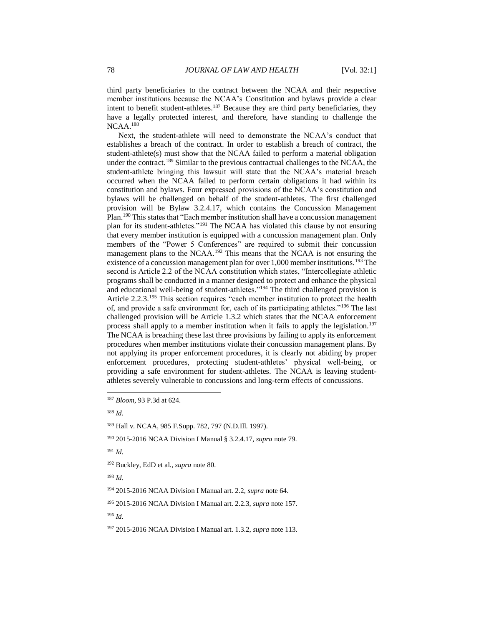third party beneficiaries to the contract between the NCAA and their respective member institutions because the NCAA's Constitution and bylaws provide a clear intent to benefit student-athletes.<sup>187</sup> Because they are third party beneficiaries, they have a legally protected interest, and therefore, have standing to challenge the NCAA.<sup>188</sup>

Next, the student-athlete will need to demonstrate the NCAA's conduct that establishes a breach of the contract. In order to establish a breach of contract, the student-athlete(s) must show that the NCAA failed to perform a material obligation under the contract.<sup>189</sup> Similar to the previous contractual challenges to the NCAA, the student-athlete bringing this lawsuit will state that the NCAA's material breach occurred when the NCAA failed to perform certain obligations it had within its constitution and bylaws. Four expressed provisions of the NCAA's constitution and bylaws will be challenged on behalf of the student-athletes. The first challenged provision will be Bylaw 3.2.4.17, which contains the Concussion Management Plan.<sup>190</sup> This states that "Each member institution shall have a concussion management plan for its student-athletes."<sup>191</sup> The NCAA has violated this clause by not ensuring that every member institution is equipped with a concussion management plan. Only members of the "Power 5 Conferences" are required to submit their concussion management plans to the NCAA.<sup>192</sup> This means that the NCAA is not ensuring the existence of a concussion management plan for over 1,000 member institutions.<sup>193</sup> The second is Article 2.2 of the NCAA constitution which states, "Intercollegiate athletic programs shall be conducted in a manner designed to protect and enhance the physical and educational well-being of student-athletes."<sup>194</sup> The third challenged provision is Article 2.2.3.<sup>195</sup> This section requires "each member institution to protect the health of, and provide a safe environment for, each of its participating athletes."<sup>196</sup> The last challenged provision will be Article 1.3.2 which states that the NCAA enforcement process shall apply to a member institution when it fails to apply the legislation.<sup>197</sup> The NCAA is breaching these last three provisions by failing to apply its enforcement procedures when member institutions violate their concussion management plans. By not applying its proper enforcement procedures, it is clearly not abiding by proper enforcement procedures, protecting student-athletes' physical well-being, or providing a safe environment for student-athletes. The NCAA is leaving studentathletes severely vulnerable to concussions and long-term effects of concussions.

<sup>188</sup> *Id.*

l

<sup>193</sup> *Id.* 

<sup>187</sup> *Bloom*, 93 P.3d at 624.

<sup>189</sup> Hall v. NCAA, 985 F.Supp. 782, 797 (N.D.Ill. 1997).

<sup>190</sup> 2015-2016 NCAA Division I Manual § 3.2.4.17, *supra* note 79.

<sup>191</sup> *Id.*

<sup>192</sup> Buckley, EdD et al., *supra* note 80.

<sup>194</sup> 2015-2016 NCAA Division I Manual art. 2.2, *supra* note 64.

<sup>195</sup> 2015-2016 NCAA Division I Manual art. 2.2.3, *supra* note 157.

<sup>197</sup> 2015-2016 NCAA Division I Manual art. 1.3.2, *supra* note 113.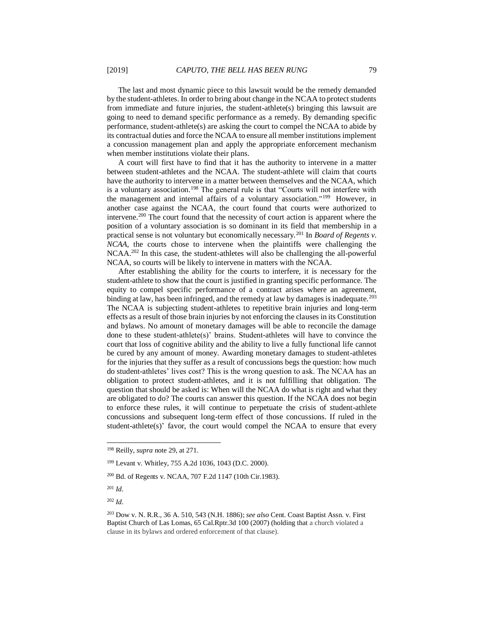The last and most dynamic piece to this lawsuit would be the remedy demanded by the student-athletes. In order to bring about change in the NCAA to protect students from immediate and future injuries, the student-athlete(s) bringing this lawsuit are going to need to demand specific performance as a remedy. By demanding specific performance, student-athlete(s) are asking the court to compel the NCAA to abide by its contractual duties and force the NCAA to ensure all member institutions implement a concussion management plan and apply the appropriate enforcement mechanism when member institutions violate their plans.

A court will first have to find that it has the authority to intervene in a matter between student-athletes and the NCAA. The student-athlete will claim that courts have the authority to intervene in a matter between themselves and the NCAA, which is a voluntary association.<sup>198</sup> The general rule is that "Courts will not interfere with the management and internal affairs of a voluntary association."<sup>199</sup> However, in another case against the NCAA, the court found that courts were authorized to intervene.<sup>200</sup> The court found that the necessity of court action is apparent where the position of a voluntary association is so dominant in its field that membership in a practical sense is not voluntary but economically necessary.<sup>201</sup> In *Board of Regents v. NCAA*, the courts chose to intervene when the plaintiffs were challenging the NCAA.<sup>202</sup> In this case, the student-athletes will also be challenging the all-powerful NCAA, so courts will be likely to intervene in matters with the NCAA.

After establishing the ability for the courts to interfere, it is necessary for the student-athlete to show that the court is justified in granting specific performance. The equity to compel specific performance of a contract arises where an agreement, binding at law, has been infringed, and the remedy at law by damages is inadequate.<sup>203</sup> The NCAA is subjecting student-athletes to repetitive brain injuries and long-term effects as a result of those brain injuries by not enforcing the clauses in its Constitution and bylaws. No amount of monetary damages will be able to reconcile the damage done to these student-athlete(s)' brains. Student-athletes will have to convince the court that loss of cognitive ability and the ability to live a fully functional life cannot be cured by any amount of money. Awarding monetary damages to student-athletes for the injuries that they suffer as a result of concussions begs the question: how much do student-athletes' lives cost? This is the wrong question to ask. The NCAA has an obligation to protect student-athletes, and it is not fulfilling that obligation. The question that should be asked is: When will the NCAA do what is right and what they are obligated to do? The courts can answer this question. If the NCAA does not begin to enforce these rules, it will continue to perpetuate the crisis of student-athlete concussions and subsequent long-term effect of those concussions. If ruled in the student-athlete(s)' favor, the court would compel the NCAA to ensure that every

<sup>201</sup> *Id.* 

l

<sup>198</sup> Reilly, *supra* note 29, at 271.

<sup>199</sup> Levant v. Whitley, 755 A.2d 1036, 1043 (D.C. 2000).

<sup>200</sup> Bd. of Regents v. NCAA, 707 F.2d 1147 (10th Cir.1983).

<sup>203</sup> Dow v. N. R.R., 36 A. 510, 543 (N.H. 1886); *see also* Cent. Coast Baptist Assn. v. First Baptist Church of Las Lomas, 65 Cal.Rptr.3d 100 (2007) (holding that a church violated a clause in its bylaws and ordered enforcement of that clause).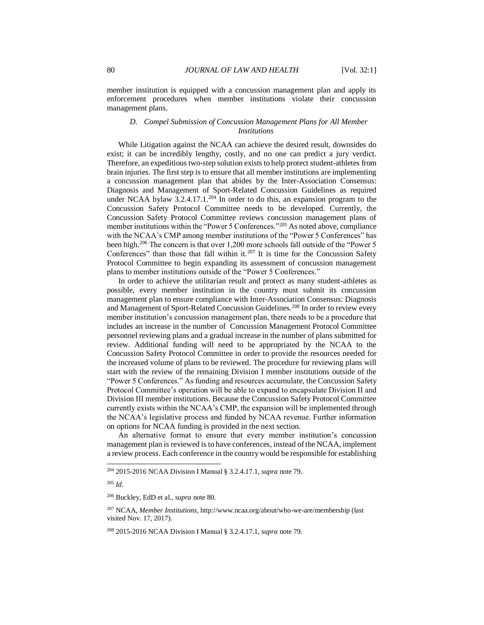member institution is equipped with a concussion management plan and apply its enforcement procedures when member institutions violate their concussion management plans.

# *D. Compel Submission of Concussion Management Plans for All Member Institutions*

While Litigation against the NCAA can achieve the desired result, downsides do exist; it can be incredibly lengthy, costly, and no one can predict a jury verdict. Therefore, an expeditious two-step solution exists to help protect student-athletes from brain injuries. The first step is to ensure that all member institutions are implementing a concussion management plan that abides by the Inter-Association Consensus: Diagnosis and Management of Sport-Related Concussion Guidelines as required under NCAA bylaw  $3.2.4.17.1^{204}$  In order to do this, an expansion program to the Concussion Safety Protocol Committee needs to be developed. Currently, the Concussion Safety Protocol Committee reviews concussion management plans of member institutions within the "Power 5 Conferences."<sup>205</sup> As noted above, compliance with the NCAA's CMP among member institutions of the "Power 5 Conferences" has been high.<sup>206</sup> The concern is that over 1,200 more schools fall outside of the "Power 5 Conferences" than those that fall within it.<sup>207</sup> It is time for the Concussion Safety Protocol Committee to begin expanding its assessment of concussion management plans to member institutions outside of the "Power 5 Conferences."

In order to achieve the utilitarian result and protect as many student-athletes as possible, every member institution in the country must submit its concussion management plan to ensure compliance with Inter-Association Consensus: Diagnosis and Management of Sport-Related Concussion Guidelines.<sup>208</sup> In order to review every member institution's concussion management plan, there needs to be a procedure that includes an increase in the number of Concussion Management Protocol Committee personnel reviewing plans and a gradual increase in the number of plans submitted for review. Additional funding will need to be appropriated by the NCAA to the Concussion Safety Protocol Committee in order to provide the resources needed for the increased volume of plans to be reviewed. The procedure for reviewing plans will start with the review of the remaining Division I member institutions outside of the "Power 5 Conferences." As funding and resources accumulate, the Concussion Safety Protocol Committee's operation will be able to expand to encapsulate Division II and Division III member institutions. Because the Concussion Safety Protocol Committee currently exists within the NCAA's CMP, the expansion will be implemented through the NCAA's legislative process and funded by NCAA revenue. Further information on options for NCAA funding is provided in the next section.

An alternative format to ensure that every member institution's concussion management plan is reviewed is to have conferences, instead of the NCAA, implement a review process. Each conference in the country would be responsible for establishing

<sup>204</sup> 2015-2016 NCAA Division I Manual § 3.2.4.17.1, *supra* note 79.

<sup>205</sup> *Id.*

<sup>206</sup> Buckley, EdD et al., *supra* note 80.

<sup>207</sup> NCAA, *Member Institutions*, http://www.ncaa.org/about/who-we-are/membership (last visited Nov. 17, 2017).

<sup>208</sup> 2015-2016 NCAA Division I Manual § 3.2.4.17.1, *supra* note 79.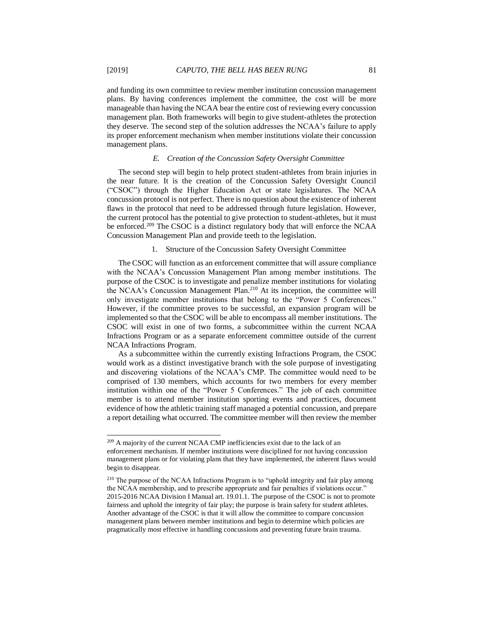and funding its own committee to review member institution concussion management plans. By having conferences implement the committee, the cost will be more manageable than having the NCAA bear the entire cost of reviewing every concussion management plan. Both frameworks will begin to give student-athletes the protection they deserve. The second step of the solution addresses the NCAA's failure to apply its proper enforcement mechanism when member institutions violate their concussion management plans.

#### *E. Creation of the Concussion Safety Oversight Committee*

The second step will begin to help protect student-athletes from brain injuries in the near future. It is the creation of the Concussion Safety Oversight Council ("CSOC") through the Higher Education Act or state legislatures. The NCAA concussion protocol is not perfect. There is no question about the existence of inherent flaws in the protocol that need to be addressed through future legislation. However, the current protocol has the potential to give protection to student-athletes, but it must be enforced.<sup>209</sup> The CSOC is a distinct regulatory body that will enforce the NCAA Concussion Management Plan and provide teeth to the legislation.

#### 1. Structure of the Concussion Safety Oversight Committee

The CSOC will function as an enforcement committee that will assure compliance with the NCAA's Concussion Management Plan among member institutions. The purpose of the CSOC is to investigate and penalize member institutions for violating the NCAA's Concussion Management Plan.<sup>210</sup> At its inception, the committee will only investigate member institutions that belong to the "Power 5 Conferences." However, if the committee proves to be successful, an expansion program will be implemented so that the CSOC will be able to encompass all member institutions. The CSOC will exist in one of two forms, a subcommittee within the current NCAA Infractions Program or as a separate enforcement committee outside of the current NCAA Infractions Program.

As a subcommittee within the currently existing Infractions Program, the CSOC would work as a distinct investigative branch with the sole purpose of investigating and discovering violations of the NCAA's CMP. The committee would need to be comprised of 130 members, which accounts for two members for every member institution within one of the "Power 5 Conferences." The job of each committee member is to attend member institution sporting events and practices, document evidence of how the athletic training staff managed a potential concussion, and prepare a report detailing what occurred. The committee member will then review the member

<sup>&</sup>lt;sup>209</sup> A majority of the current NCAA CMP inefficiencies exist due to the lack of an enforcement mechanism. If member institutions were disciplined for not having concussion management plans or for violating plans that they have implemented, the inherent flaws would begin to disappear.

<sup>210</sup> The purpose of the NCAA Infractions Program is to "uphold integrity and fair play among the NCAA membership, and to prescribe appropriate and fair penalties if violations occur." 2015-2016 NCAA Division I Manual art. 19.01.1. The purpose of the CSOC is not to promote fairness and uphold the integrity of fair play; the purpose is brain safety for student athletes. Another advantage of the CSOC is that it will allow the committee to compare concussion management plans between member institutions and begin to determine which policies are pragmatically most effective in handling concussions and preventing future brain trauma.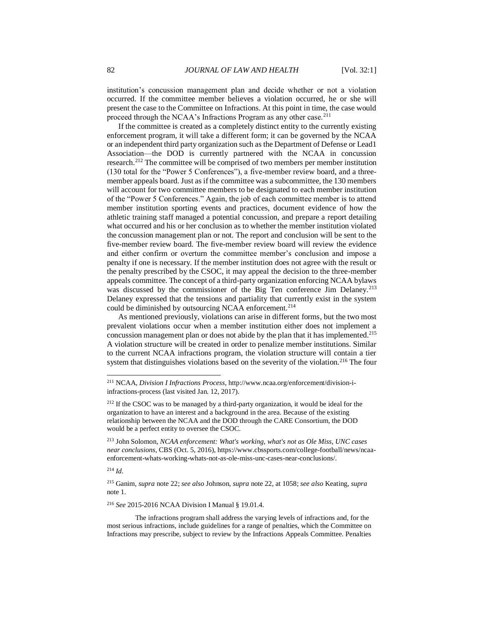institution's concussion management plan and decide whether or not a violation occurred. If the committee member believes a violation occurred, he or she will present the case to the Committee on Infractions. At this point in time, the case would proceed through the NCAA's Infractions Program as any other case.<sup>211</sup>

If the committee is created as a completely distinct entity to the currently existing enforcement program, it will take a different form; it can be governed by the NCAA or an independent third party organization such as the Department of Defense or Lead1 Association—the DOD is currently partnered with the NCAA in concussion research.<sup>212</sup> The committee will be comprised of two members per member institution (130 total for the "Power 5 Conferences"), a five-member review board, and a threemember appeals board. Just as if the committee was a subcommittee, the 130 members will account for two committee members to be designated to each member institution of the "Power 5 Conferences." Again, the job of each committee member is to attend member institution sporting events and practices, document evidence of how the athletic training staff managed a potential concussion, and prepare a report detailing what occurred and his or her conclusion as to whether the member institution violated the concussion management plan or not. The report and conclusion will be sent to the five-member review board. The five-member review board will review the evidence and either confirm or overturn the committee member's conclusion and impose a penalty if one is necessary. If the member institution does not agree with the result or the penalty prescribed by the CSOC, it may appeal the decision to the three-member appeals committee. The concept of a third-party organization enforcing NCAA bylaws was discussed by the commissioner of the Big Ten conference Jim Delaney.<sup>213</sup> Delaney expressed that the tensions and partiality that currently exist in the system could be diminished by outsourcing NCAA enforcement.<sup>214</sup>

As mentioned previously, violations can arise in different forms, but the two most prevalent violations occur when a member institution either does not implement a concussion management plan or does not abide by the plan that it has implemented.<sup>215</sup> A violation structure will be created in order to penalize member institutions. Similar to the current NCAA infractions program, the violation structure will contain a tier system that distinguishes violations based on the severity of the violation.<sup>216</sup> The four

 $^{214}$  *Id.* 

l

<sup>215</sup> Ganim, *supra* note 22; *see also* Johnson, *supra* note 22, at 1058; *see also* Keating, *supra*  note 1.

<sup>216</sup> *See* 2015-2016 NCAA Division I Manual § 19.01.4.

The infractions program shall address the varying levels of infractions and, for the most serious infractions, include guidelines for a range of penalties, which the Committee on Infractions may prescribe, subject to review by the Infractions Appeals Committee. Penalties

<sup>211</sup> NCAA, *Division I Infractions Process*, http://www.ncaa.org/enforcement/division-iinfractions-process (last visited Jan. 12, 2017).

<sup>&</sup>lt;sup>212</sup> If the CSOC was to be managed by a third-party organization, it would be ideal for the organization to have an interest and a background in the area. Because of the existing relationship between the NCAA and the DOD through the CARE Consortium, the DOD would be a perfect entity to oversee the CSOC.

<sup>213</sup> John Solomon, *NCAA enforcement: What's working, what's not as Ole Miss, UNC cases near conclusions*, CBS (Oct. 5, 2016), https://www.cbssports.com/college-football/news/ncaaenforcement-whats-working-whats-not-as-ole-miss-unc-cases-near-conclusions/.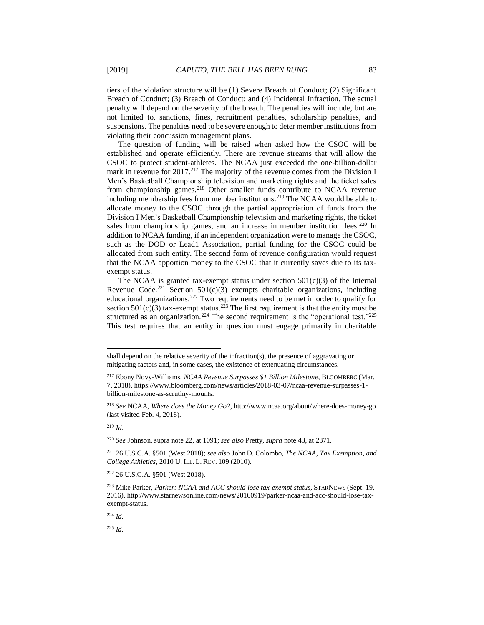tiers of the violation structure will be (1) Severe Breach of Conduct; (2) Significant Breach of Conduct; (3) Breach of Conduct; and (4) Incidental Infraction. The actual penalty will depend on the severity of the breach. The penalties will include, but are not limited to, sanctions, fines, recruitment penalties, scholarship penalties, and suspensions. The penalties need to be severe enough to deter member institutions from violating their concussion management plans.

The question of funding will be raised when asked how the CSOC will be established and operate efficiently. There are revenue streams that will allow the CSOC to protect student-athletes. The NCAA just exceeded the one-billion-dollar mark in revenue for 2017.<sup>217</sup> The majority of the revenue comes from the Division I Men's Basketball Championship television and marketing rights and the ticket sales from championship games.<sup>218</sup> Other smaller funds contribute to NCAA revenue including membership fees from member institutions.<sup>219</sup> The NCAA would be able to allocate money to the CSOC through the partial appropriation of funds from the Division I Men's Basketball Championship television and marketing rights, the ticket sales from championship games, and an increase in member institution fees.<sup>220</sup> In addition to NCAA funding, if an independent organization were to manage the CSOC, such as the DOD or Lead1 Association, partial funding for the CSOC could be allocated from such entity. The second form of revenue configuration would request that the NCAA apportion money to the CSOC that it currently saves due to its taxexempt status.

The NCAA is granted tax-exempt status under section  $501(c)(3)$  of the Internal Revenue Code.<sup>221</sup> Section 501(c)(3) exempts charitable organizations, including educational organizations.<sup>222</sup> Two requirements need to be met in order to qualify for section  $501(c)(3)$  tax-exempt status.<sup>223</sup> The first requirement is that the entity must be structured as an organization.<sup>224</sup> The second requirement is the "operational test."<sup>225</sup> This test requires that an entity in question must engage primarily in charitable

l

<sup>220</sup> *See* Johnson, supra note 22, at 1091; *see also* Pretty, *supra* note 43, at 2371.

<sup>222</sup> 26 U.S.C.A. §501 (West 2018).

shall depend on the relative severity of the infraction(s), the presence of aggravating or mitigating factors and, in some cases, the existence of extenuating circumstances.

<sup>217</sup> Ebony Novy-Williams, *NCAA Revenue Surpasses \$1 Billion Milestone*, BLOOMBERG (Mar. 7, 2018), https://www.bloomberg.com/news/articles/2018-03-07/ncaa-revenue-surpasses-1 billion-milestone-as-scrutiny-mounts.

<sup>218</sup> *See* NCAA, *Where does the Money Go?*, http://www.ncaa.org/about/where-does-money-go (last visited Feb. 4, 2018).

 $^{219}$  *Id.* 

<sup>221</sup> 26 U.S.C.A. §501 (West 2018); *see also* John D. Colombo, *The NCAA, Tax Exemption, and College Athletics*, 2010 U. ILL. L. REV. 109 (2010).

<sup>223</sup> Mike Parker, *Parker: NCAA and ACC should lose tax-exempt status*, STARNEWS (Sept. 19, 2016), http://www.starnewsonline.com/news/20160919/parker-ncaa-and-acc-should-lose-taxexempt-status.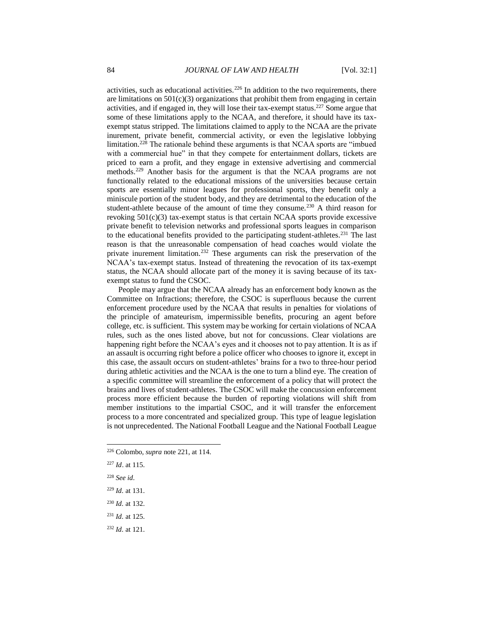activities, such as educational activities.<sup>226</sup> In addition to the two requirements, there are limitations on  $501(c)(3)$  organizations that prohibit them from engaging in certain activities, and if engaged in, they will lose their tax-exempt status.<sup>227</sup> Some argue that some of these limitations apply to the NCAA, and therefore, it should have its taxexempt status stripped. The limitations claimed to apply to the NCAA are the private inurement, private benefit, commercial activity, or even the legislative lobbying limitation.<sup>228</sup> The rationale behind these arguments is that NCAA sports are "imbued with a commercial hue" in that they compete for entertainment dollars, tickets are priced to earn a profit, and they engage in extensive advertising and commercial methods.<sup>229</sup> Another basis for the argument is that the NCAA programs are not functionally related to the educational missions of the universities because certain sports are essentially minor leagues for professional sports, they benefit only a miniscule portion of the student body, and they are detrimental to the education of the student-athlete because of the amount of time they consume.<sup>230</sup> A third reason for revoking 501(c)(3) tax-exempt status is that certain NCAA sports provide excessive private benefit to television networks and professional sports leagues in comparison to the educational benefits provided to the participating student-athletes.<sup>231</sup> The last reason is that the unreasonable compensation of head coaches would violate the private inurement limitation.<sup>232</sup> These arguments can risk the preservation of the NCAA's tax-exempt status. Instead of threatening the revocation of its tax-exempt status, the NCAA should allocate part of the money it is saving because of its taxexempt status to fund the CSOC.

People may argue that the NCAA already has an enforcement body known as the Committee on Infractions; therefore, the CSOC is superfluous because the current enforcement procedure used by the NCAA that results in penalties for violations of the principle of amateurism, impermissible benefits, procuring an agent before college, etc. is sufficient. This system may be working for certain violations of NCAA rules, such as the ones listed above, but not for concussions. Clear violations are happening right before the NCAA's eyes and it chooses not to pay attention. It is as if an assault is occurring right before a police officer who chooses to ignore it, except in this case, the assault occurs on student-athletes' brains for a two to three-hour period during athletic activities and the NCAA is the one to turn a blind eye. The creation of a specific committee will streamline the enforcement of a policy that will protect the brains and lives of student-athletes. The CSOC will make the concussion enforcement process more efficient because the burden of reporting violations will shift from member institutions to the impartial CSOC, and it will transfer the enforcement process to a more concentrated and specialized group. This type of league legislation is not unprecedented. The National Football League and the National Football League

- <sup>227</sup> *Id*. at 115.
- <sup>228</sup> *See id.*

- <sup>229</sup> *Id.* at 131.
- <sup>230</sup> *Id.* at 132.
- <sup>231</sup> *Id.* at 125.
- <sup>232</sup> *Id.* at 121.

<sup>226</sup> Colombo, *supra* note 221, at 114.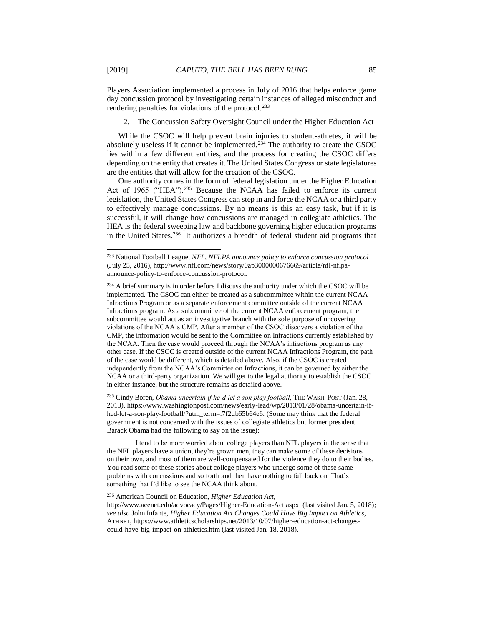Players Association implemented a process in July of 2016 that helps enforce game day concussion protocol by investigating certain instances of alleged misconduct and rendering penalties for violations of the protocol.<sup>233</sup>

2. The Concussion Safety Oversight Council under the Higher Education Act

While the CSOC will help prevent brain injuries to student-athletes, it will be absolutely useless if it cannot be implemented.<sup> $234$ </sup> The authority to create the CSOC lies within a few different entities, and the process for creating the CSOC differs depending on the entity that creates it. The United States Congress or state legislatures are the entities that will allow for the creation of the CSOC.

One authority comes in the form of federal legislation under the Higher Education Act of 1965 ("HEA").<sup>235</sup> Because the NCAA has failed to enforce its current legislation, the United States Congress can step in and force the NCAA or a third party to effectively manage concussions. By no means is this an easy task, but if it is successful, it will change how concussions are managed in collegiate athletics. The HEA is the federal sweeping law and backbone governing higher education programs in the United States.<sup>236</sup> It authorizes a breadth of federal student aid programs that

<sup>235</sup> Cindy Boren, *Obama uncertain if he'd let a son play football*, THE WASH. POST (Jan. 28, 2013), https://www.washingtonpost.com/news/early-lead/wp/2013/01/28/obama-uncertain-ifhed-let-a-son-play-football/?utm\_term=.7f2db65b64e6. (Some may think that the federal government is not concerned with the issues of collegiate athletics but former president Barack Obama had the following to say on the issue):

I tend to be more worried about college players than NFL players in the sense that the NFL players have a union, they're grown men, they can make some of these decisions on their own, and most of them are well-compensated for the violence they do to their bodies. You read some of these stories about college players who undergo some of these same problems with concussions and so forth and then have nothing to fall back on. That's something that I'd like to see the NCAA think about.

<sup>236</sup> American Council on Education, *Higher Education Act*,

http://www.acenet.edu/advocacy/Pages/Higher-Education-Act.aspx (last visited Jan. 5, 2018); *see also* John Infante, *Higher Education Act Changes Could Have Big Impact on Athletics*, ATHNET, https://www.athleticscholarships.net/2013/10/07/higher-education-act-changescould-have-big-impact-on-athletics.htm (last visited Jan. 18, 2018).

<sup>233</sup> National Football League, *NFL, NFLPA announce policy to enforce concussion protocol*  (July 25, 2016), http://www.nfl.com/news/story/0ap3000000676669/article/nfl-nflpaannounce-policy-to-enforce-concussion-protocol.

<sup>&</sup>lt;sup>234</sup> A brief summary is in order before I discuss the authority under which the CSOC will be implemented. The CSOC can either be created as a subcommittee within the current NCAA Infractions Program or as a separate enforcement committee outside of the current NCAA Infractions program. As a subcommittee of the current NCAA enforcement program, the subcommittee would act as an investigative branch with the sole purpose of uncovering violations of the NCAA's CMP. After a member of the CSOC discovers a violation of the CMP, the information would be sent to the Committee on Infractions currently established by the NCAA. Then the case would proceed through the NCAA's infractions program as any other case. If the CSOC is created outside of the current NCAA Infractions Program, the path of the case would be different, which is detailed above. Also, if the CSOC is created independently from the NCAA's Committee on Infractions, it can be governed by either the NCAA or a third-party organization. We will get to the legal authority to establish the CSOC in either instance, but the structure remains as detailed above.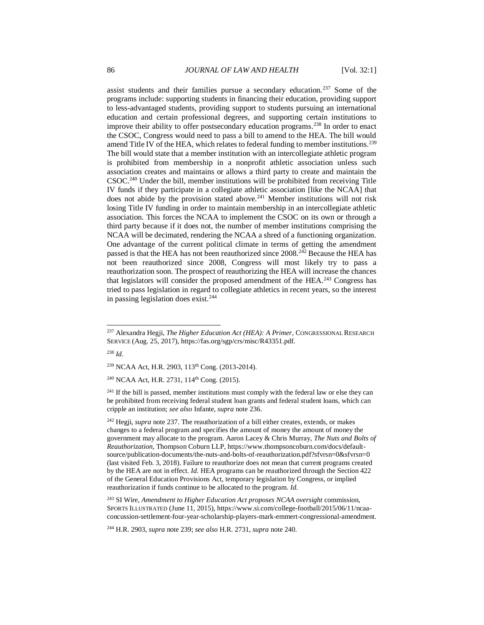assist students and their families pursue a secondary education.<sup>237</sup> Some of the programs include: supporting students in financing their education, providing support to less-advantaged students, providing support to students pursuing an international education and certain professional degrees, and supporting certain institutions to improve their ability to offer postsecondary education programs.<sup>238</sup> In order to enact the CSOC, Congress would need to pass a bill to amend to the HEA. The bill would amend Title IV of the HEA, which relates to federal funding to member institutions.<sup>239</sup> The bill would state that a member institution with an intercollegiate athletic program is prohibited from membership in a nonprofit athletic association unless such association creates and maintains or allows a third party to create and maintain the CSOC.<sup>240</sup> Under the bill, member institutions will be prohibited from receiving Title IV funds if they participate in a collegiate athletic association [like the NCAA] that does not abide by the provision stated above.<sup>241</sup> Member institutions will not risk losing Title IV funding in order to maintain membership in an intercollegiate athletic association. This forces the NCAA to implement the CSOC on its own or through a third party because if it does not, the number of member institutions comprising the NCAA will be decimated, rendering the NCAA a shred of a functioning organization. One advantage of the current political climate in terms of getting the amendment passed is that the HEA has not been reauthorized since 2008.<sup>242</sup> Because the HEA has not been reauthorized since 2008, Congress will most likely try to pass a reauthorization soon. The prospect of reauthorizing the HEA will increase the chances that legislators will consider the proposed amendment of the HEA.<sup>243</sup> Congress has tried to pass legislation in regard to collegiate athletics in recent years, so the interest in passing legislation does exist.<sup>244</sup>

<sup>238</sup> *Id.* 

l

<sup>240</sup> NCAA Act, H.R. 2731, 114<sup>th</sup> Cong. (2015).

 $^{241}$  If the bill is passed, member institutions must comply with the federal law or else they can be prohibited from receiving federal student loan grants and federal student loans, which can cripple an institution; *see also* Infante, *supra* note 236.

<sup>242</sup> Hegji, *supra* note 237. The reauthorization of a bill either creates, extends, or makes changes to a federal program and specifies the amount of money the amount of money the government may allocate to the program. Aaron Lacey & Chris Murray, *The Nuts and Bolts of Reauthorization*, Thompson Coburn LLP, https://www.thompsoncoburn.com/docs/defaultsource/publication-documents/the-nuts-and-bolts-of-reauthorization.pdf?sfvrsn=0&sfvrsn=0 (last visited Feb. 3, 2018). Failure to reauthorize does not mean that current programs created by the HEA are not in effect. *Id.* HEA programs can be reauthorized through the Section 422 of the General Education Provisions Act, temporary legislation by Congress, or implied reauthorization if funds continue to be allocated to the program. *Id.* 

<sup>243</sup> SI Wire, *Amendment to Higher Education Act proposes NCAA oversight commission*, SPORTS ILLUSTRATED (June 11, 2015), https://www.si.com/college-football/2015/06/11/ncaaconcussion-settlement-four-year-scholarship-players-mark-emmert-congressional-amendment.

<sup>244</sup> H.R. 2903, *supra* note 239; *see also* H.R. 2731, *supra* note 240.

<sup>237</sup> Alexandra Hegji, *The Higher Education Act (HEA): A Primer*, CONGRESSIONAL RESEARCH SERVICE (Aug. 25, 2017), https://fas.org/sgp/crs/misc/R43351.pdf.

<sup>239</sup> NCAA Act, H.R. 2903, 113th Cong. (2013-2014).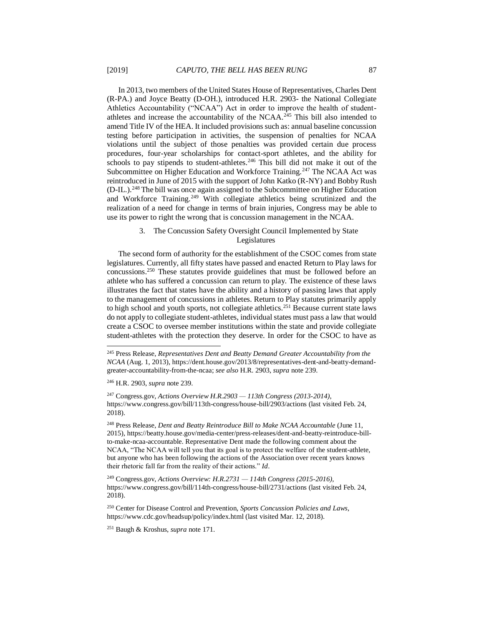In 2013, two members of the United States House of Representatives, Charles Dent (R-PA.) and Joyce Beatty (D-OH.), introduced H.R. 2903- the National Collegiate Athletics Accountability ("NCAA") Act in order to improve the health of studentathletes and increase the accountability of the NCAA.<sup>245</sup> This bill also intended to amend Title IV of the HEA. It included provisions such as: annual baseline concussion testing before participation in activities, the suspension of penalties for NCAA violations until the subject of those penalties was provided certain due process procedures, four-year scholarships for contact-sport athletes, and the ability for schools to pay stipends to student-athletes.<sup>246</sup> This bill did not make it out of the Subcommittee on Higher Education and Workforce Training.<sup>247</sup> The NCAA Act was reintroduced in June of 2015 with the support of John Katko (R-NY) and Bobby Rush (D-IL.).<sup>248</sup> The bill was once again assigned to the Subcommittee on Higher Education and Workforce Training.<sup>249</sup> With collegiate athletics being scrutinized and the realization of a need for change in terms of brain injuries, Congress may be able to use its power to right the wrong that is concussion management in the NCAA.

#### 3. The Concussion Safety Oversight Council Implemented by State Legislatures

The second form of authority for the establishment of the CSOC comes from state legislatures. Currently, all fifty states have passed and enacted Return to Play laws for concussions.<sup>250</sup> These statutes provide guidelines that must be followed before an athlete who has suffered a concussion can return to play. The existence of these laws illustrates the fact that states have the ability and a history of passing laws that apply to the management of concussions in athletes. Return to Play statutes primarily apply to high school and youth sports, not collegiate athletics.<sup>251</sup> Because current state laws do not apply to collegiate student-athletes, individual states must pass a law that would create a CSOC to oversee member institutions within the state and provide collegiate student-athletes with the protection they deserve. In order for the CSOC to have as

<sup>246</sup> H.R. 2903, *supra* note 239.

l

<sup>247</sup> Congress.gov, *Actions Overview H.R.2903 — 113th Congress (2013-2014)*, https://www.congress.gov/bill/113th-congress/house-bill/2903/actions (last visited Feb. 24, 2018).

<sup>248</sup> Press Release, *Dent and Beatty Reintroduce Bill to Make NCAA Accountable* (June 11, 2015), https://beatty.house.gov/media-center/press-releases/dent-and-beatty-reintroduce-billto-make-ncaa-accountable. Representative Dent made the following comment about the NCAA, "The NCAA will tell you that its goal is to protect the welfare of the student-athlete, but anyone who has been following the actions of the Association over recent years knows their rhetoric fall far from the reality of their actions." *Id*.

<sup>249</sup> Congress.gov, *Actions Overview: H.R.2731 — 114th Congress (2015-2016)*, https://www.congress.gov/bill/114th-congress/house-bill/2731/actions (last visited Feb. 24, 2018).

<sup>250</sup> Center for Disease Control and Prevention, *Sports Concussion Policies and Laws*, https://www.cdc.gov/headsup/policy/index.html (last visited Mar. 12, 2018).

<sup>251</sup> Baugh & Kroshus, *supra* note 171.

<sup>245</sup> Press Release, *Representatives Dent and Beatty Demand Greater Accountability from the NCAA* (Aug. 1, 2013), https://dent.house.gov/2013/8/representatives-dent-and-beatty-demandgreater-accountability-from-the-ncaa; *see also* H.R. 2903, *supra* note 239.